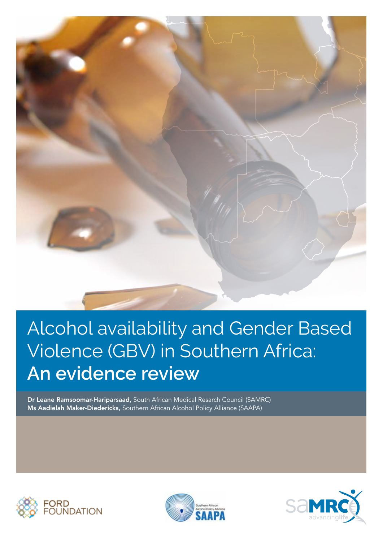

# Alcohol availability and Gender Based Violence (GBV) in Southern Africa: **An evidence review**

Dr Leane Ramsoomar-Hariparsaad, South African Medical Resarch Council (SAMRC) Ms Aadielah Maker-Diedericks, Southern African Alcohol Policy Alliance (SAAPA)





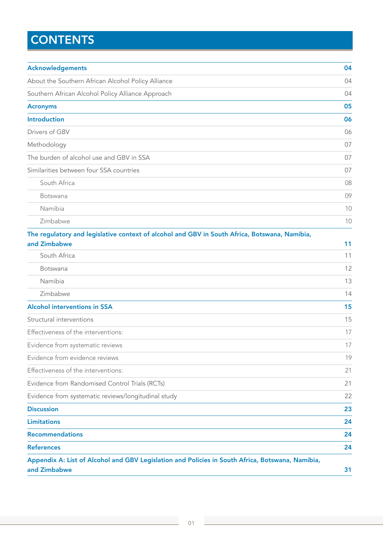# **CONTENTS**

| <b>Acknowledgements</b>                                                                                          | 04 |  |  |  |
|------------------------------------------------------------------------------------------------------------------|----|--|--|--|
| About the Southern African Alcohol Policy Alliance                                                               |    |  |  |  |
| Southern African Alcohol Policy Alliance Approach                                                                |    |  |  |  |
| <b>Acronyms</b>                                                                                                  | 05 |  |  |  |
| <b>Introduction</b>                                                                                              | 06 |  |  |  |
| Drivers of GBV                                                                                                   | 06 |  |  |  |
| Methodology                                                                                                      | 07 |  |  |  |
| The burden of alcohol use and GBV in SSA                                                                         | 07 |  |  |  |
| Similarities between four SSA countries                                                                          | 07 |  |  |  |
| South Africa                                                                                                     | 08 |  |  |  |
| Botswana                                                                                                         | 09 |  |  |  |
| Namibia                                                                                                          | 10 |  |  |  |
| Zimbabwe                                                                                                         | 10 |  |  |  |
| The regulatory and legislative context of alcohol and GBV in South Africa, Botswana, Namibia,                    |    |  |  |  |
| and Zimbabwe                                                                                                     | 11 |  |  |  |
| South Africa                                                                                                     | 11 |  |  |  |
| Botswana                                                                                                         | 12 |  |  |  |
| Namibia                                                                                                          | 13 |  |  |  |
| Zimbabwe                                                                                                         | 14 |  |  |  |
| <b>Alcohol interventions in SSA</b>                                                                              | 15 |  |  |  |
| Structural interventions                                                                                         | 15 |  |  |  |
| Effectiveness of the interventions:                                                                              | 17 |  |  |  |
| Evidence from systematic reviews                                                                                 | 17 |  |  |  |
| Evidence from evidence reviews                                                                                   | 19 |  |  |  |
| Effectiveness of the interventions:                                                                              | 21 |  |  |  |
| Evidence from Randomised Control Trials (RCTs)                                                                   | 21 |  |  |  |
| Evidence from systematic reviews/longitudinal study                                                              | 22 |  |  |  |
| <b>Discussion</b>                                                                                                | 23 |  |  |  |
| <b>Limitations</b>                                                                                               | 24 |  |  |  |
| <b>Recommendations</b>                                                                                           | 24 |  |  |  |
| <b>References</b>                                                                                                | 24 |  |  |  |
| Appendix A: List of Alcohol and GBV Legislation and Policies in South Africa, Botswana, Namibia,<br>and Zimbabwe | 31 |  |  |  |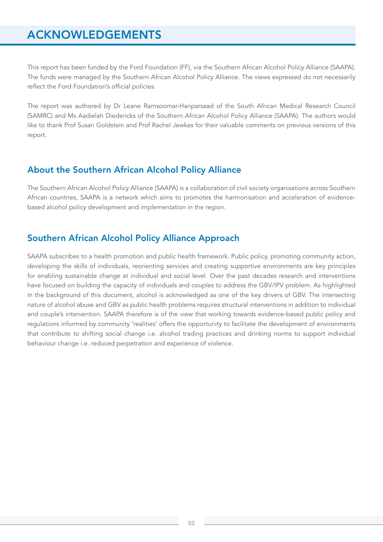# ACKNOWLEDGEMENTS

This report has been funded by the Ford Foundation (FF), via the Southern African Alcohol Policy Alliance (SAAPA). The funds were managed by the Southern African Alcohol Policy Alliance. The views expressed do not necessarily reflect the Ford Foundation's official policies.

The report was authored by Dr Leane Ramsoomar-Hariparsaad of the South African Medical Research Council (SAMRC) and Ms Aadielah Diedericks of the Southern African Alcohol Policy Alliance (SAAPA). The authors would like to thank Prof Susan Goldstein and Prof Rachel Jewkes for their valuable comments on previous versions of this report.

### About the Southern African Alcohol Policy Alliance

The Southern African Alcohol Policy Alliance (SAAPA) is a collaboration of civil society organisations across Southern African countries, SAAPA is a network which aims to promotes the harmonisation and acceleration of evidencebased alcohol policy development and implementation in the region.

### Southern African Alcohol Policy Alliance Approach

SAAPA subscribes to a health promotion and public health framework. Public policy, promoting community action, developing the skills of individuals, reorienting services and creating supportive environments are key principles for enabling sustainable change at individual and social level. Over the past decades research and interventions have focused on building the capacity of individuals and couples to address the GBV/IPV problem. As highlighted in the background of this document, alcohol is acknowledged as one of the key drivers of GBV. The intersecting nature of alcohol abuse and GBV as public health problems requires structural interventions in addition to individual and couple's intervention. SAAPA therefore is of the view that working towards evidence-based public policy and regulations informed by community 'realities' offers the opportunity to facilitate the development of environments that contribute to shifting social change i.e. alcohol trading practices and drinking norms to support individual behaviour change i.e. reduced perpetration and experience of violence.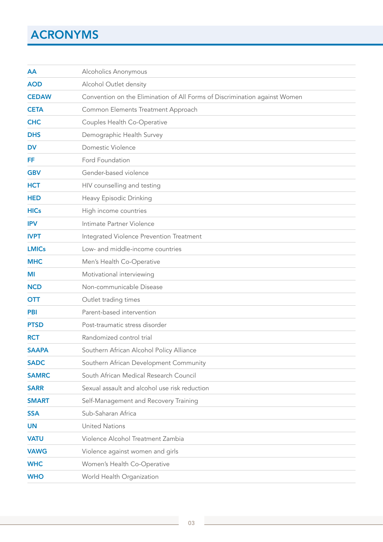# ACRONYMS

| AA           | Alcoholics Anonymous                                                       |  |  |  |  |  |
|--------------|----------------------------------------------------------------------------|--|--|--|--|--|
| <b>AOD</b>   | Alcohol Outlet density                                                     |  |  |  |  |  |
| <b>CEDAW</b> | Convention on the Elimination of All Forms of Discrimination against Women |  |  |  |  |  |
| <b>CETA</b>  | Common Elements Treatment Approach                                         |  |  |  |  |  |
| <b>CHC</b>   | Couples Health Co-Operative                                                |  |  |  |  |  |
| <b>DHS</b>   | Demographic Health Survey                                                  |  |  |  |  |  |
| <b>DV</b>    | Domestic Violence                                                          |  |  |  |  |  |
| FF           | Ford Foundation                                                            |  |  |  |  |  |
| <b>GBV</b>   | Gender-based violence                                                      |  |  |  |  |  |
| <b>HCT</b>   | HIV counselling and testing                                                |  |  |  |  |  |
| <b>HED</b>   | Heavy Episodic Drinking                                                    |  |  |  |  |  |
| <b>HICs</b>  | High income countries                                                      |  |  |  |  |  |
| <b>IPV</b>   | Intimate Partner Violence                                                  |  |  |  |  |  |
| <b>IVPT</b>  | Integrated Violence Prevention Treatment                                   |  |  |  |  |  |
| <b>LMICs</b> | Low- and middle-income countries                                           |  |  |  |  |  |
| <b>MHC</b>   | Men's Health Co-Operative                                                  |  |  |  |  |  |
| MI           | Motivational interviewing                                                  |  |  |  |  |  |
| <b>NCD</b>   | Non-communicable Disease                                                   |  |  |  |  |  |
| <b>OTT</b>   | Outlet trading times                                                       |  |  |  |  |  |
| <b>PBI</b>   | Parent-based intervention                                                  |  |  |  |  |  |
| <b>PTSD</b>  | Post-traumatic stress disorder                                             |  |  |  |  |  |
| <b>RCT</b>   | Randomized control trial                                                   |  |  |  |  |  |
| <b>SAAPA</b> | Southern African Alcohol Policy Alliance                                   |  |  |  |  |  |
| <b>SADC</b>  | Southern African Development Community                                     |  |  |  |  |  |
| <b>SAMRC</b> | South African Medical Research Council                                     |  |  |  |  |  |
| <b>SARR</b>  | Sexual assault and alcohol use risk reduction                              |  |  |  |  |  |
| <b>SMART</b> | Self-Management and Recovery Training                                      |  |  |  |  |  |
| <b>SSA</b>   | Sub-Saharan Africa                                                         |  |  |  |  |  |
| <b>UN</b>    | <b>United Nations</b>                                                      |  |  |  |  |  |
| <b>VATU</b>  | Violence Alcohol Treatment Zambia                                          |  |  |  |  |  |
| <b>VAWG</b>  | Violence against women and girls                                           |  |  |  |  |  |
| <b>WHC</b>   | Women's Health Co-Operative                                                |  |  |  |  |  |
| <b>WHO</b>   | World Health Organization                                                  |  |  |  |  |  |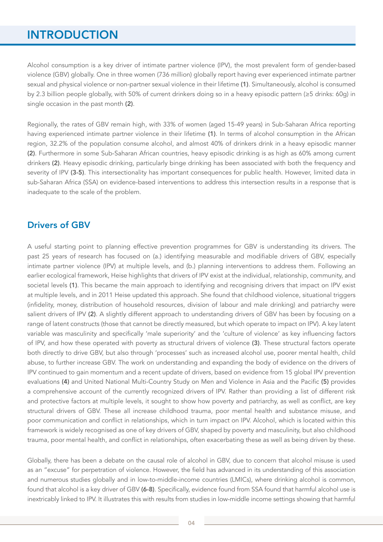## **INTRODUCTION**

Alcohol consumption is a key driver of intimate partner violence (IPV), the most prevalent form of gender-based violence (GBV) globally. One in three women (736 million) globally report having ever experienced intimate partner sexual and physical violence or non-partner sexual violence in their lifetime (1). Simultaneously, alcohol is consumed by 2.3 billion people globally, with 50% of current drinkers doing so in a heavy episodic pattern (≥5 drinks: 60g) in single occasion in the past month (2).

Regionally, the rates of GBV remain high, with 33% of women (aged 15-49 years) in Sub-Saharan Africa reporting having experienced intimate partner violence in their lifetime (1). In terms of alcohol consumption in the African region, 32.2% of the population consume alcohol, and almost 40% of drinkers drink in a heavy episodic manner (2). Furthermore in some Sub-Saharan African countries, heavy episodic drinking is as high as 60% among current drinkers (2). Heavy episodic drinking, particularly binge drinking has been associated with both the frequency and severity of IPV (3-5). This intersectionality has important consequences for public health. However, limited data in sub-Saharan Africa (SSA) on evidence-based interventions to address this intersection results in a response that is inadequate to the scale of the problem.

### Drivers of GBV

A useful starting point to planning effective prevention programmes for GBV is understanding its drivers. The past 25 years of research has focused on (a.) identifying measurable and modifiable drivers of GBV, especially intimate partner violence (IPV) at multiple levels, and (b.) planning interventions to address them. Following an earlier ecological framework, Heise highlights that drivers of IPV exist at the individual, relationship, community, and societal levels (1). This became the main approach to identifying and recognising drivers that impact on IPV exist at multiple levels, and in 2011 Heise updated this approach. She found that childhood violence, situational triggers (infidelity, money, distribution of household resources, division of labour and male drinking) and patriarchy were salient drivers of IPV (2). A slightly different approach to understanding drivers of GBV has been by focusing on a range of latent constructs (those that cannot be directly measured, but which operate to impact on IPV). A key latent variable was masculinity and specifically 'male superiority' and the 'culture of violence' as key influencing factors of IPV, and how these operated with poverty as structural drivers of violence (3). These structural factors operate both directly to drive GBV, but also through 'processes' such as increased alcohol use, poorer mental health, child abuse, to further increase GBV. The work on understanding and expanding the body of evidence on the drivers of IPV continued to gain momentum and a recent update of drivers, based on evidence from 15 global IPV prevention evaluations (4) and United National Multi-Country Study on Men and Violence in Asia and the Pacific (5) provides a comprehensive account of the currently recognized drivers of IPV. Rather than providing a list of different risk and protective factors at multiple levels, it sought to show how poverty and patriarchy, as well as conflict, are key structural drivers of GBV. These all increase childhood trauma, poor mental health and substance misuse, and poor communication and conflict in relationships, which in turn impact on IPV. Alcohol, which is located within this framework is widely recognised as one of key drivers of GBV, shaped by poverty and masculinity, but also childhood trauma, poor mental health, and conflict in relationships, often exacerbating these as well as being driven by these.

Globally, there has been a debate on the causal role of alcohol in GBV, due to concern that alcohol misuse is used as an "excuse" for perpetration of violence. However, the field has advanced in its understanding of this association and numerous studies globally and in low-to-middle-income countries (LMICs), where drinking alcohol is common, found that alcohol is a key driver of GBV (6-8). Specifically, evidence found from SSA found that harmful alcohol use is inextricably linked to IPV. It illustrates this with results from studies in low-middle income settings showing that harmful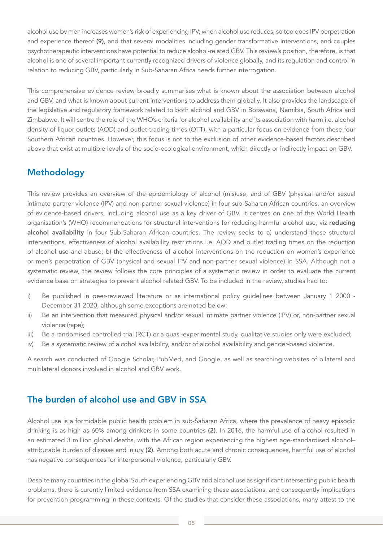alcohol use by men increases women's risk of experiencing IPV; when alcohol use reduces, so too does IPV perpetration and experience thereof (9), and that several modalities including gender transformative interventions, and couples psychotherapeutic interventions have potential to reduce alcohol-related GBV. This review's position, therefore, is that alcohol is one of several important currently recognized drivers of violence globally, and its regulation and control in relation to reducing GBV, particularly in Sub-Saharan Africa needs further interrogation.

This comprehensive evidence review broadly summarises what is known about the association between alcohol and GBV, and what is known about current interventions to address them globally. It also provides the landscape of the legislative and regulatory framework related to both alcohol and GBV in Botswana, Namibia, South Africa and Zimbabwe. It will centre the role of the WHO's criteria for alcohol availability and its association with harm i.e. alcohol density of liquor outlets (AOD) and outlet trading times (OTT), with a particular focus on evidence from these four Southern African countries. However, this focus is not to the exclusion of other evidence-based factors described above that exist at multiple levels of the socio-ecological environment, which directly or indirectly impact on GBV.

### Methodology

This review provides an overview of the epidemiology of alcohol (mis)use, and of GBV (physical and/or sexual intimate partner violence (IPV) and non-partner sexual violence) in four sub-Saharan African countries, an overview of evidence-based drivers, including alcohol use as a key driver of GBV. It centres on one of the World Health organisation's (WHO) recommendations for structural interventions for reducing harmful alcohol use, viz reducing alcohol availability in four Sub-Saharan African countries. The review seeks to a) understand these structural interventions, effectiveness of alcohol availability restrictions i.e. AOD and outlet trading times on the reduction of alcohol use and abuse; b) the effectiveness of alcohol interventions on the reduction on women's experience or men's perpetration of GBV (physical and sexual IPV and non-partner sexual violence) in SSA. Although not a systematic review, the review follows the core principles of a systematic review in order to evaluate the current evidence base on strategies to prevent alcohol related GBV. To be included in the review, studies had to:

- i) Be published in peer-reviewed literature or as international policy guidelines between January 1 2000 -December 31 2020, although some exceptions are noted below;
- ii) Be an intervention that measured physical and/or sexual intimate partner violence (IPV) or, non-partner sexual violence (rape);
- iii) Be a randomised controlled trial (RCT) or a quasi-experimental study, qualitative studies only were excluded;
- iv) Be a systematic review of alcohol availability, and/or of alcohol availability and gender-based violence.

A search was conducted of Google Scholar, PubMed, and Google, as well as searching websites of bilateral and multilateral donors involved in alcohol and GBV work.

### The burden of alcohol use and GBV in SSA

Alcohol use is a formidable public health problem in sub-Saharan Africa, where the prevalence of heavy episodic drinking is as high as 60% among drinkers in some countries (2). In 2016, the harmful use of alcohol resulted in an estimated 3 million global deaths, with the African region experiencing the highest age-standardised alcohol– attributable burden of disease and injury (2). Among both acute and chronic consequences, harmful use of alcohol has negative consequences for interpersonal violence, particularly GBV.

Despite many countries in the global South experiencing GBV and alcohol use as significant intersecting public health problems, there is curently limited evidence from SSA examining these associations, and consequently implications for prevention programming in these contexts. Of the studies that consider these associations, many attest to the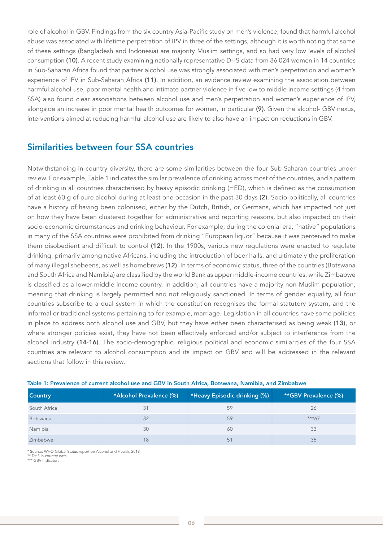role of alcohol in GBV. Findings from the six country Asia-Pacific study on men's violence, found that harmful alcohol abuse was associated with lifetime perpetration of IPV in three of the settings, although it is worth noting that some of these settings (Bangladesh and Indonesia) are majority Muslim settings, and so had very low levels of alcohol consumption (10). A recent study examining nationally representative DHS data from 86 024 women in 14 countries in Sub-Saharan Africa found that partner alcohol use was strongly associated with men's perpetration and women's experience of IPV in Sub-Saharan Africa (11). In addition, an evidence review examining the association between harmful alcohol use, poor mental health and intimate partner violence in five low to middle income settings (4 from SSA) also found clear associations between alcohol use and men's perpetration and women's experience of IPV, alongside an increase in poor mental health outcomes for women, in particular (9). Given the alcohol- GBV nexus, interventions aimed at reducing harmful alcohol use are likely to also have an impact on reductions in GBV.

### Similarities between four SSA countries

Notwithstanding in-country diversity, there are some similarities between the four Sub-Saharan countries under review. For example, Table 1 indicates the similar prevalence of drinking across most of the countries, and a pattern of drinking in all countries characterised by heavy episodic drinking (HED), which is defined as the consumption of at least 60 g of pure alcohol during at least one occasion in the past 30 days (2). Socio-politically, all countries have a history of having been colonised, either by the Dutch, British, or Germans, which has impacted not just on how they have been clustered together for administrative and reporting reasons, but also impacted on their socio-economic circumstances and drinking behaviour. For example, during the colonial era, "native" populations in many of the SSA countries were prohibited from drinking "European liquor" because it was perceived to make them disobedient and difficult to control (12). In the 1900s, various new regulations were enacted to regulate drinking, primarily among native Africans, including the introduction of beer halls, and ultimately the proliferation of many illegal shebeens, as well as homebrews (12). In terms of economic status, three of the countries (Botswana and South Africa and Namibia) are classified by the world Bank as upper middle-income countries, while Zimbabwe is classified as a lower-middle income country. In addition, all countries have a majority non-Muslim population, meaning that drinking is largely permitted and not religiously sanctioned. In terms of gender equality, all four countries subscribe to a dual system in which the constitution recognises the formal statutory system, and the informal or traditional systems pertaining to for example, marriage. Legislation in all countries have some policies in place to address both alcohol use and GBV, but they have either been characterised as being weak (13), or where stronger policies exist, they have not been effectively enforced and/or subject to interference from the alcohol industry (14-16). The socio-demographic, religious political and economic similarities of the four SSA countries are relevant to alcohol consumption and its impact on GBV and will be addressed in the relevant sections that follow in this review.

| <b>Country</b> | *Alcohol Prevalence (%)<br>$\mid$ *Heavy Episodic drinking (%) $\mid$ |    | **GBV Prevalence (%) |  |
|----------------|-----------------------------------------------------------------------|----|----------------------|--|
| South Africa   |                                                                       | 59 | 26                   |  |
| Botswana       | 32                                                                    | 59 | $***67$              |  |
| Namibia        | 30                                                                    | 60 | 33                   |  |
| Zimbabwe       | 18                                                                    | 51 | 35                   |  |

#### Table 1: Prevalence of current alcohol use and GBV in South Africa, Botswana, Namibia, and Zimbabwe

\* Source: WHO Global Status report on Alcohol and Health, 2018

\*\* DHS in-country data \*\*\* GBV Indicators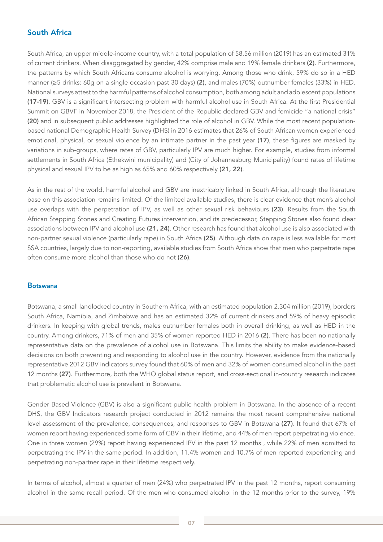### South Africa

South Africa, an upper middle-income country, with a total population of 58.56 million (2019) has an estimated 31% of current drinkers. When disaggregated by gender, 42% comprise male and 19% female drinkers (2). Furthermore, the patterns by which South Africans consume alcohol is worrying. Among those who drink, 59% do so in a HED manner (≥5 drinks: 60g on a single occasion past 30 days) (2), and males (70%) outnumber females (33%) in HED. National surveys attest to the harmful patterns of alcohol consumption, both among adult and adolescent populations (17-19). GBV is a significant intersecting problem with harmful alcohol use in South Africa. At the first Presidential Summit on GBVF in November 2018, the President of the Republic declared GBV and femicide "a national crisis" (20) and in subsequent public addresses highlighted the role of alcohol in GBV. While the most recent populationbased national Demographic Health Survey (DHS) in 2016 estimates that 26% of South African women experienced emotional, physical, or sexual violence by an intimate partner in the past year (17), these figures are masked by variations in sub-groups, where rates of GBV, particularly IPV are much higher. For example, studies from informal settlements in South Africa (Ethekwini municipality) and (City of Johannesburg Municipality) found rates of lifetime physical and sexual IPV to be as high as 65% and 60% respectively (21, 22).

As in the rest of the world, harmful alcohol and GBV are inextricably linked in South Africa, although the literature base on this association remains limited. Of the limited available studies, there is clear evidence that men's alcohol use overlaps with the perpetration of IPV, as well as other sexual risk behaviours (23). Results from the South African Stepping Stones and Creating Futures intervention, and its predecessor, Stepping Stones also found clear associations between IPV and alcohol use (21, 24). Other research has found that alcohol use is also associated with non-partner sexual violence (particularly rape) in South Africa (25). Although data on rape is less available for most SSA countries, largely due to non-reporting, available studies from South Africa show that men who perpetrate rape often consume more alcohol than those who do not (26).

#### Botswana

Botswana, a small landlocked country in Southern Africa, with an estimated population 2.304 million (2019), borders South Africa, Namibia, and Zimbabwe and has an estimated 32% of current drinkers and 59% of heavy episodic drinkers. In keeping with global trends, males outnumber females both in overall drinking, as well as HED in the country. Among drinkers, 71% of men and 35% of women reported HED in 2016 (2). There has been no nationally representative data on the prevalence of alcohol use in Botswana. This limits the ability to make evidence-based decisions on both preventing and responding to alcohol use in the country. However, evidence from the nationally representative 2012 GBV indicators survey found that 60% of men and 32% of women consumed alcohol in the past 12 months (27). Furthermore, both the WHO global status report, and cross-sectional in-country research indicates that problematic alcohol use is prevalent in Botswana.

Gender Based Violence (GBV) is also a significant public health problem in Botswana. In the absence of a recent DHS, the GBV Indicators research project conducted in 2012 remains the most recent comprehensive national level assessment of the prevalence, consequences, and responses to GBV in Botswana (27). It found that 67% of women report having experienced some form of GBV in their lifetime, and 44% of men report perpetrating violence. One in three women (29%) report having experienced IPV in the past 12 months , while 22% of men admitted to perpetrating the IPV in the same period. In addition, 11.4% women and 10.7% of men reported experiencing and perpetrating non-partner rape in their lifetime respectively.

In terms of alcohol, almost a quarter of men (24%) who perpetrated IPV in the past 12 months, report consuming alcohol in the same recall period. Of the men who consumed alcohol in the 12 months prior to the survey, 19%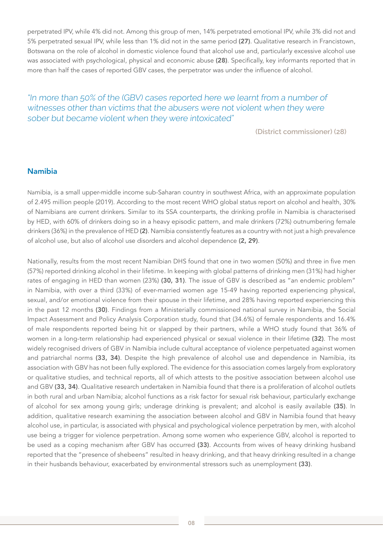perpetrated IPV, while 4% did not. Among this group of men, 14% perpetrated emotional IPV, while 3% did not and 5% perpetrated sexual IPV, while less than 1% did not in the same period (27). Qualitative research in Francistown, Botswana on the role of alcohol in domestic violence found that alcohol use and, particularly excessive alcohol use was associated with psychological, physical and economic abuse (28). Specifically, key informants reported that in more than half the cases of reported GBV cases, the perpetrator was under the influence of alcohol.

### "In more than 50% of the (GBV) cases reported here we learnt from a number of witnesses other than victims that the abusers were not violent when they were sober but became violent when they were intoxicated"

**(District commissioner) (28)**

### Namibia

Namibia, is a small upper-middle income sub-Saharan country in southwest Africa, with an approximate population of 2.495 million people (2019). According to the most recent WHO global status report on alcohol and health, 30% of Namibians are current drinkers. Similar to its SSA counterparts, the drinking profile in Namibia is characterised by HED, with 60% of drinkers doing so in a heavy episodic pattern, and male drinkers (72%) outnumbering female drinkers (36%) in the prevalence of HED (2). Namibia consistently features as a country with not just a high prevalence of alcohol use, but also of alcohol use disorders and alcohol dependence (2, 29).

Nationally, results from the most recent Namibian DHS found that one in two women (50%) and three in five men (57%) reported drinking alcohol in their lifetime. In keeping with global patterns of drinking men (31%) had higher rates of engaging in HED than women (23%) (30, 31). The issue of GBV is described as "an endemic problem" in Namibia, with over a third (33%) of ever-married women age 15-49 having reported experiencing physical, sexual, and/or emotional violence from their spouse in their lifetime, and 28% having reported experiencing this in the past 12 months (30). Findings from a Ministerially commissioned national survey in Namibia, the Social Impact Assessment and Policy Analysis Corporation study, found that (34.6%) of female respondents and 16.4% of male respondents reported being hit or slapped by their partners, while a WHO study found that 36% of women in a long-term relationship had experienced physical or sexual violence in their lifetime (32). The most widely recognised drivers of GBV in Namibia include cultural acceptance of violence perpetuated against women and patriarchal norms (33, 34). Despite the high prevalence of alcohol use and dependence in Namibia, its association with GBV has not been fully explored. The evidence for this association comes largely from exploratory or qualitative studies, and technical reports, all of which attests to the positive association between alcohol use and GBV (33, 34). Qualitative research undertaken in Namibia found that there is a proliferation of alcohol outlets in both rural and urban Namibia; alcohol functions as a risk factor for sexual risk behaviour, particularly exchange of alcohol for sex among young girls; underage drinking is prevalent; and alcohol is easily available (35). In addition, qualitative research examining the association between alcohol and GBV in Namibia found that heavy alcohol use, in particular, is associated with physical and psychological violence perpetration by men, with alcohol use being a trigger for violence perpetration. Among some women who experience GBV, alcohol is reported to be used as a coping mechanism after GBV has occurred (33). Accounts from wives of heavy drinking husband reported that the "presence of shebeens" resulted in heavy drinking, and that heavy drinking resulted in a change in their husbands behaviour, exacerbated by environmental stressors such as unemployment (33).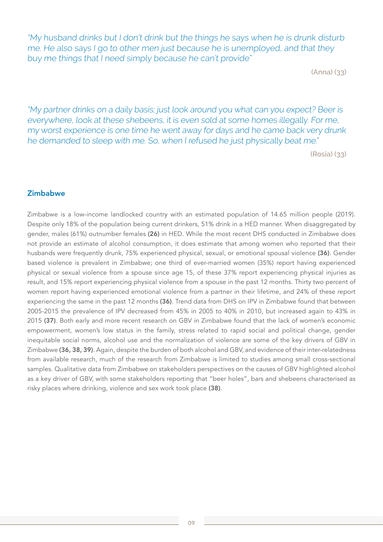"My husband drinks but I don't drink but the things he says when he is drunk disturb me. He also says I go to other men just because he is unemployed, and that they buy me things that I need simply because he can't provide"

**(Anna) (33)**

"My partner drinks on a daily basis; just look around you what can you expect? Beer is everywhere, look at these shebeens, it is even sold at some homes illegally. For me, my worst experience is one time he went away for days and he came back very drunk he demanded to sleep with me. So, when I refused he just physically beat me."

**(Rosia) (33)**

### Zimbabwe

Zimbabwe is a low-income landlocked country with an estimated population of 14.65 million people (2019). Despite only 18% of the population being current drinkers, 51% drink in a HED manner. When disaggregated by gender, males (61%) outnumber females (26) in HED. While the most recent DHS conducted in Zimbabwe does not provide an estimate of alcohol consumption, it does estimate that among women who reported that their husbands were frequently drunk, 75% experienced physical, sexual, or emotional spousal violence (36). Gender based violence is prevalent in Zimbabwe; one third of ever-married women (35%) report having experienced physical or sexual violence from a spouse since age 15, of these 37% report experiencing physical injuries as result, and 15% report experiencing physical violence from a spouse in the past 12 months. Thirty two percent of women report having experienced emotional violence from a partner in their lifetime, and 24% of these report experiencing the same in the past 12 months (36). Trend data from DHS on IPV in Zimbabwe found that between 2005-2015 the prevalence of IPV decreased from 45% in 2005 to 40% in 2010, but increased again to 43% in 2015 (37). Both early and more recent research on GBV in Zimbabwe found that the lack of women's economic empowerment, women's low status in the family, stress related to rapid social and political change, gender inequitable social norms, alcohol use and the normalization of violence are some of the key drivers of GBV in Zimbabwe (36, 38, 39). Again, despite the burden of both alcohol and GBV, and evidence of their inter-relatedness from available research, much of the research from Zimbabwe is limited to studies among small cross-sectional samples. Qualitative data from Zimbabwe on stakeholders perspectives on the causes of GBV highlighted alcohol as a key driver of GBV, with some stakeholders reporting that "beer holes", bars and shebeens characterised as risky places where drinking, violence and sex work took place (38).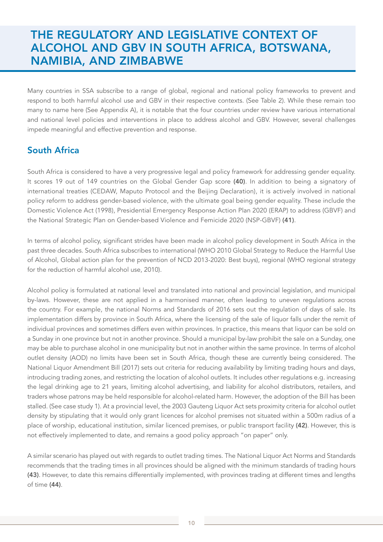# THE REGULATORY AND LEGISLATIVE CONTEXT OF ALCOHOL AND GBV IN SOUTH AFRICA, BOTSWANA, NAMIBIA, AND ZIMBABWE

Many countries in SSA subscribe to a range of global, regional and national policy frameworks to prevent and respond to both harmful alcohol use and GBV in their respective contexts. (See Table 2). While these remain too many to name here (See Appendix A), it is notable that the four countries under review have various international and national level policies and interventions in place to address alcohol and GBV. However, several challenges impede meaningful and effective prevention and response.

### South Africa

South Africa is considered to have a very progressive legal and policy framework for addressing gender equality. It scores 19 out of 149 countries on the Global Gender Gap score (40). In addition to being a signatory of international treaties (CEDAW, Maputo Protocol and the Beijing Declaration), it is actively involved in national policy reform to address gender-based violence, with the ultimate goal being gender equality. These include the Domestic Violence Act (1998), Presidential Emergency Response Action Plan 2020 (ERAP) to address (GBVF) and the National Strategic Plan on Gender-based Violence and Femicide 2020 (NSP-GBVF) (41).

In terms of alcohol policy, significant strides have been made in alcohol policy development in South Africa in the past three decades. South Africa subscribes to international (WHO 2010 Global Strategy to Reduce the Harmful Use of Alcohol, Global action plan for the prevention of NCD 2013-2020: Best buys), regional (WHO regional strategy for the reduction of harmful alcohol use, 2010).

Alcohol policy is formulated at national level and translated into national and provincial legislation, and municipal by-laws. However, these are not applied in a harmonised manner, often leading to uneven regulations across the country. For example, the national Norms and Standards of 2016 sets out the regulation of days of sale. Its implementation differs by province in South Africa, where the licensing of the sale of liquor falls under the remit of individual provinces and sometimes differs even within provinces. In practice, this means that liquor can be sold on a Sunday in one province but not in another province. Should a municipal by-law prohibit the sale on a Sunday, one may be able to purchase alcohol in one municipality but not in another within the same province. In terms of alcohol outlet density (AOD) no limits have been set in South Africa, though these are currently being considered. The National Liquor Amendment Bill (2017) sets out criteria for reducing availability by limiting trading hours and days, introducing trading zones, and restricting the location of alcohol outlets. It includes other regulations e.g. increasing the legal drinking age to 21 years, limiting alcohol advertising, and liability for alcohol distributors, retailers, and traders whose patrons may be held responsible for alcohol-related harm. However, the adoption of the Bill has been stalled. (See case study 1). At a provincial level, the 2003 Gauteng Liquor Act sets proximity criteria for alcohol outlet density by stipulating that it would only grant licences for alcohol premises not situated within a 500m radius of a place of worship, educational institution, similar licenced premises, or public transport facility (42). However, this is not effectively implemented to date, and remains a good policy approach "on paper" only.

A similar scenario has played out with regards to outlet trading times. The National Liquor Act Norms and Standards recommends that the trading times in all provinces should be aligned with the minimum standards of trading hours (43). However, to date this remains differentially implemented, with provinces trading at different times and lengths of time (44).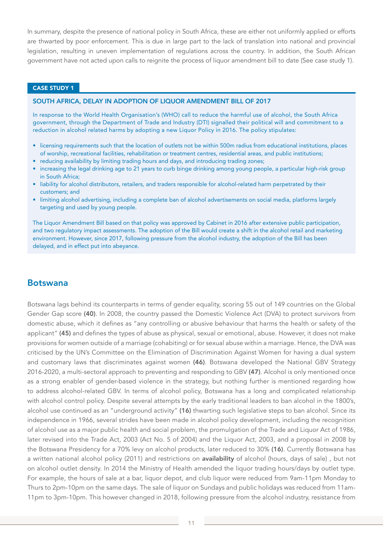In summary, despite the presence of national policy in South Africa, these are either not uniformly applied or efforts are thwarted by poor enforcement. This is due in large part to the lack of translation into national and provincial legislation, resulting in uneven implementation of regulations across the country. In addition, the South African government have not acted upon calls to reignite the process of liquor amendment bill to date (See case study 1).

#### CASE STUDY 1

#### SOUTH AFRICA, DELAY IN ADOPTION OF LIQUOR AMENDMENT BILL OF 2017

In response to the World Health Organisation's (WHO) call to reduce the harmful use of alcohol, the South Africa government, through the Department of Trade and Industry (DTI) signalled their political will and commitment to a reduction in alcohol related harms by adopting a new Liquor Policy in 2016. The policy stipulates:

- licensing requirements such that the location of outlets not be within 500m radius from educational institutions, places of worship, recreational facilities, rehabilitation or treatment centres, residential areas, and public institutions;
- reducing availability by limiting trading hours and days, and introducing trading zones;
- increasing the legal drinking age to 21 years to curb binge drinking among young people, a particular high-risk group in South Africa;
- liability for alcohol distributors, retailers, and traders responsible for alcohol-related harm perpetrated by their customers; and
- limiting alcohol advertising, including a complete ban of alcohol advertisements on social media, platforms largely targeting and used by young people.

The Liquor Amendment Bill based on that policy was approved by Cabinet in 2016 after extensive public participation, and two regulatory impact assessments. The adoption of the Bill would create a shift in the alcohol retail and marketing environment. However, since 2017, following pressure from the alcohol industry, the adoption of the Bill has been delayed, and in effect put into abeyance.

#### Botswana

Botswana lags behind its counterparts in terms of gender equality, scoring 55 out of 149 countries on the Global Gender Gap score (40). In 2008, the country passed the Domestic Violence Act (DVA) to protect survivors from domestic abuse, which it defines as "any controlling or abusive behaviour that harms the health or safety of the applicant" (45) and defines the types of abuse as physical, sexual or emotional, abuse. However, it does not make provisions for women outside of a marriage (cohabiting) or for sexual abuse within a marriage. Hence, the DVA was criticised by the UN's Committee on the Elimination of Discrimination Against Women for having a dual system and customary laws that discriminates against women (46). Botswana developed the National GBV Strategy 2016-2020, a multi-sectoral approach to preventing and responding to GBV (47). Alcohol is only mentioned once as a strong enabler of gender-based violence in the strategy, but nothing further is mentioned regarding how to address alcohol-related GBV. In terms of alcohol policy, Botswana has a long and complicated relationship with alcohol control policy. Despite several attempts by the early traditional leaders to ban alcohol in the 1800's, alcohol use continued as an "underground activity" (16) thwarting such legislative steps to ban alcohol. Since its independence in 1966, several strides have been made in alcohol policy development, including the recognition of alcohol use as a major public health and social problem, the promulgation of the Trade and Liquor Act of 1986, later revised into the Trade Act, 2003 (Act No. 5 of 2004) and the Liquor Act, 2003, and a proposal in 2008 by the Botswana Presidency for a 70% levy on alcohol products, later reduced to 30% (16). Currently Botswana has a written national alcohol policy (2011) and restrictions on availability of alcohol (hours, days of sale), but not on alcohol outlet density. In 2014 the Ministry of Health amended the liquor trading hours/days by outlet type. For example, the hours of sale at a bar, liquor depot, and club liquor were reduced from 9am-11pm Monday to Thurs to 2pm-10pm on the same days. The sale of liquor on Sundays and public holidays was reduced from 11am-11pm to 3pm-10pm. This however changed in 2018, following pressure from the alcohol industry, resistance from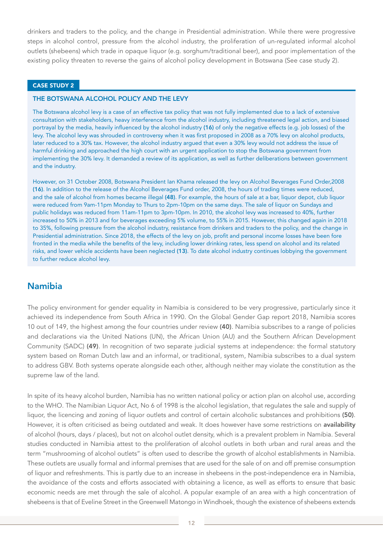drinkers and traders to the policy, and the change in Presidential administration. While there were progressive steps in alcohol control, pressure from the alcohol industry, the proliferation of un-regulated informal alcohol outlets (shebeens) which trade in opaque liquor (e.g. sorghum/traditional beer), and poor implementation of the existing policy threaten to reverse the gains of alcohol policy development in Botswana (See case study 2).

#### CASE STUDY 2

#### THE BOTSWANA ALCOHOL POLICY AND THE LEVY

The Botswana alcohol levy is a case of an effective tax policy that was not fully implemented due to a lack of extensive consultation with stakeholders, heavy interference from the alcohol industry, including threatened legal action, and biased portrayal by the media, heavily influenced by the alcohol industry (16) of only the negative effects (e.g. job losses) of the levy. The alcohol levy was shrouded in controversy when it was first proposed in 2008 as a 70% levy on alcohol products, later reduced to a 30% tax. However, the alcohol industry argued that even a 30% levy would not address the issue of harmful drinking and approached the high court with an urgent application to stop the Botswana government from implementing the 30% levy. It demanded a review of its application, as well as further deliberations between government and the industry.

However, on 31 October 2008, Botswana President Ian Khama released the levy on Alcohol Beverages Fund Order,2008 (16). In addition to the release of the Alcohol Beverages Fund order, 2008, the hours of trading times were reduced, and the sale of alcohol from homes became illegal (48). For example, the hours of sale at a bar, liquor depot, club liquor were reduced from 9am-11pm Monday to Thurs to 2pm-10pm on the same days. The sale of liquor on Sundays and public holidays was reduced from 11am-11pm to 3pm-10pm. In 2010, the alcohol levy was increased to 40%, further increased to 50% in 2013 and for beverages exceeding 5% volume, to 55% in 2015. However, this changed again in 2018 to 35%, following pressure from the alcohol industry, resistance from drinkers and traders to the policy, and the change in Presidential administration. Since 2018, the effects of the levy on job, profit and personal income losses have been fore fronted in the media while the benefits of the levy, including lower drinking rates, less spend on alcohol and its related risks, and lower vehicle accidents have been neglected (13). To date alcohol industry continues lobbying the government to further reduce alcohol levy.

### Namibia

The policy environment for gender equality in Namibia is considered to be very progressive, particularly since it achieved its independence from South Africa in 1990. On the Global Gender Gap report 2018, Namibia scores 10 out of 149, the highest among the four countries under review (40). Namibia subscribes to a range of policies and declarations via the United Nations (UN), the African Union (AU) and the Southern African Development Community (SADC) (49). In recognition of two separate judicial systems at independence: the formal statutory system based on Roman Dutch law and an informal, or traditional, system, Namibia subscribes to a dual system to address GBV. Both systems operate alongside each other, although neither may violate the constitution as the supreme law of the land.

In spite of its heavy alcohol burden, Namibia has no written national policy or action plan on alcohol use, according to the WHO. The Namibian Liquor Act, No 6 of 1998 is the alcohol legislation, that regulates the sale and supply of liquor, the licencing and zoning of liquor outlets and control of certain alcoholic substances and prohibitions (50). However, it is often criticised as being outdated and weak. It does however have some restrictions on availability of alcohol (hours, days / places), but not on alcohol outlet density, which is a prevalent problem in Namibia. Several studies conducted in Namibia attest to the proliferation of alcohol outlets in both urban and rural areas and the term "mushrooming of alcohol outlets" is often used to describe the growth of alcohol establishments in Namibia. These outlets are usually formal and informal premises that are used for the sale of on and off premise consumption of liquor and refreshments. This is partly due to an increase in shebeens in the post-independence era in Namibia, the avoidance of the costs and efforts associated with obtaining a licence, as well as efforts to ensure that basic economic needs are met through the sale of alcohol. A popular example of an area with a high concentration of shebeens is that of Eveline Street in the Greenwell Matongo in Windhoek, though the existence of shebeens extends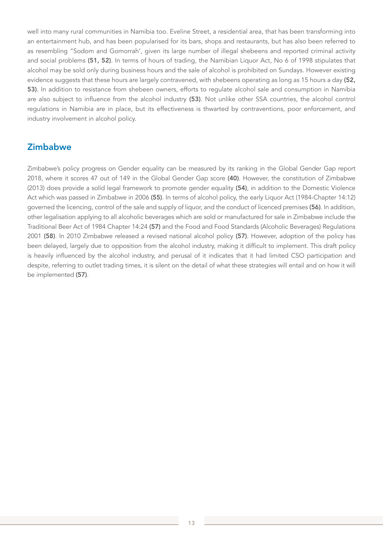well into many rural communities in Namibia too. Eveline Street, a residential area, that has been transforming into an entertainment hub, and has been popularised for its bars, shops and restaurants, but has also been referred to as resembling "Sodom and Gomorrah', given its large number of illegal shebeens and reported criminal activity and social problems (51, 52). In terms of hours of trading, the Namibian Liquor Act, No 6 of 1998 stipulates that alcohol may be sold only during business hours and the sale of alcohol is prohibited on Sundays. However existing evidence suggests that these hours are largely contravened, with shebeens operating as long as 15 hours a day (52, 53). In addition to resistance from shebeen owners, efforts to regulate alcohol sale and consumption in Namibia are also subject to influence from the alcohol industry (53). Not unlike other SSA countries, the alcohol control regulations in Namibia are in place, but its effectiveness is thwarted by contraventions, poor enforcement, and industry involvement in alcohol policy.

### **Zimbabwe**

Zimbabwe's policy progress on Gender equality can be measured by its ranking in the Global Gender Gap report 2018, where it scores 47 out of 149 in the Global Gender Gap score (40). However, the constitution of Zimbabwe (2013) does provide a solid legal framework to promote gender equality (54), in addition to the Domestic Violence Act which was passed in Zimbabwe in 2006 (55). In terms of alcohol policy, the early Liquor Act (1984-Chapter 14:12) governed the licencing, control of the sale and supply of liquor, and the conduct of licenced premises (56). In addition, other legalisation applying to all alcoholic beverages which are sold or manufactured for sale in Zimbabwe include the Traditional Beer Act of 1984 Chapter 14:24 (57) and the Food and Food Standards (Alcoholic Beverages) Regulations 2001 (58). In 2010 Zimbabwe released a revised national alcohol policy (57). However, adoption of the policy has been delayed, largely due to opposition from the alcohol industry, making it difficult to implement. This draft policy is heavily influenced by the alcohol industry, and perusal of it indicates that it had limited CSO participation and despite, referring to outlet trading times, it is silent on the detail of what these strategies will entail and on how it will be implemented (57).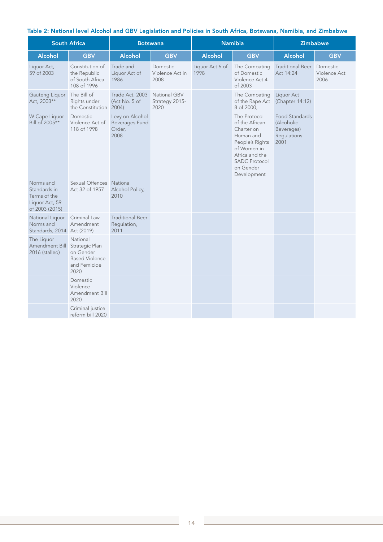#### Table 2: National level Alcohol and GBV Legislation and Policies in South Africa, Botswana, Namibia, and Zimbabwe

| <b>South Africa</b>                                                           |                                                                                          | <b>Botswana</b>                                            |                                        | <b>Namibia</b>          |                                                                                                                                                                   | <b>Zimbabwe</b>                                                   |                                  |
|-------------------------------------------------------------------------------|------------------------------------------------------------------------------------------|------------------------------------------------------------|----------------------------------------|-------------------------|-------------------------------------------------------------------------------------------------------------------------------------------------------------------|-------------------------------------------------------------------|----------------------------------|
| <b>Alcohol</b>                                                                | <b>GBV</b>                                                                               | <b>Alcohol</b>                                             | <b>GBV</b>                             | <b>Alcohol</b>          | <b>GBV</b>                                                                                                                                                        | <b>Alcohol</b>                                                    | <b>GBV</b>                       |
| Liquor Act,<br>59 of 2003                                                     | Constitution of<br>the Republic<br>of South Africa<br>108 of 1996                        | Trade and<br>Liquor Act of<br>1986                         | Domestic<br>Violence Act in<br>2008    | Liquor Act 6 of<br>1998 | The Combating<br>of Domestic<br>Violence Act 4<br>of 2003                                                                                                         | <b>Traditional Beer</b><br>Act 14:24                              | Domestic<br>Violence Act<br>2006 |
| Gauteng Liquor<br>Act, 2003**                                                 | The Bill of<br>Rights under<br>the Constitution 2004)                                    | Trade Act, 2003<br>(Act No. 5 of                           | National GBV<br>Strategy 2015-<br>2020 |                         | The Combating<br>of the Rape Act<br>8 of 2000,                                                                                                                    | Liquor Act<br>(Chapter 14:12)                                     |                                  |
| W Cape Liquor<br>Bill of 2005**                                               | Domestic<br>Violence Act of<br>118 of 1998                                               | Levy on Alcohol<br><b>Beverages Fund</b><br>Order,<br>2008 |                                        |                         | The Protocol<br>of the African<br>Charter on<br>Human and<br>People's Rights<br>of Women in<br>Africa and the<br><b>SADC Protocol</b><br>on Gender<br>Development | Food Standards<br>(Alcoholic<br>Beverages)<br>Regulations<br>2001 |                                  |
| Norms and<br>Standards in<br>Terms of the<br>Liquor Act, 59<br>of 2003 (2015) | Sexual Offences National<br>Act 32 of 1957                                               | Alcohol Policy,<br>2010                                    |                                        |                         |                                                                                                                                                                   |                                                                   |                                  |
| National Liquor<br>Norms and<br>Standards, 2014 Act (2019)                    | Criminal Law<br>Amendment                                                                | <b>Traditional Beer</b><br>Regulation,<br>2011             |                                        |                         |                                                                                                                                                                   |                                                                   |                                  |
| The Liquor<br>Amendment Bill<br>2016 (stalled)                                | National<br>Strategic Plan<br>on Gender<br><b>Based Violence</b><br>and Femicide<br>2020 |                                                            |                                        |                         |                                                                                                                                                                   |                                                                   |                                  |
|                                                                               | Domestic<br>Violence<br>Amendment Bill<br>2020                                           |                                                            |                                        |                         |                                                                                                                                                                   |                                                                   |                                  |
|                                                                               | Criminal justice<br>reform bill 2020                                                     |                                                            |                                        |                         |                                                                                                                                                                   |                                                                   |                                  |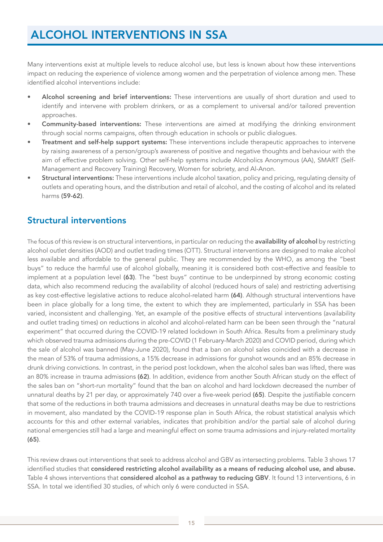# ALCOHOL INTERVENTIONS IN SSA

Many interventions exist at multiple levels to reduce alcohol use, but less is known about how these interventions impact on reducing the experience of violence among women and the perpetration of violence among men. These identified alcohol interventions include:

- Alcohol screening and brief interventions: These interventions are usually of short duration and used to identify and intervene with problem drinkers, or as a complement to universal and/or tailored prevention approaches.
- Community-based interventions: These interventions are aimed at modifying the drinking environment through social norms campaigns, often through education in schools or public dialogues.
- Treatment and self-help support systems: These interventions include therapeutic approaches to intervene by raising awareness of a person/group's awareness of positive and negative thoughts and behaviour with the aim of effective problem solving. Other self-help systems include Alcoholics Anonymous (AA), SMART (Self-Management and Recovery Training) Recovery, Women for sobriety, and Al-Anon.
- Structural interventions: These interventions include alcohol taxation, policy and pricing, regulating density of outlets and operating hours, and the distribution and retail of alcohol, and the costing of alcohol and its related harms (59-62).

### Structural interventions

The focus of this review is on structural interventions, in particular on reducing the **availability of alcohol** by restricting alcohol outlet densities (AOD) and outlet trading times (OTT). Structural interventions are designed to make alcohol less available and affordable to the general public. They are recommended by the WHO, as among the "best buys" to reduce the harmful use of alcohol globally, meaning it is considered both cost-effective and feasible to implement at a population level (63). The "best buys" continue to be underpinned by strong economic costing data, which also recommend reducing the availability of alcohol (reduced hours of sale) and restricting advertising as key cost-effective legislative actions to reduce alcohol-related harm (64). Although structural interventions have been in place globally for a long time, the extent to which they are implemented, particularly in SSA has been varied, inconsistent and challenging. Yet, an example of the positive effects of structural interventions (availability and outlet trading times) on reductions in alcohol and alcohol-related harm can be been seen through the "natural experiment" that occurred during the COVID-19 related lockdown in South Africa. Results from a preliminary study which observed trauma admissions during the pre-COVID (1 February-March 2020) and COVID period, during which the sale of alcohol was banned (May-June 2020), found that a ban on alcohol sales coincided with a decrease in the mean of 53% of trauma admissions, a 15% decrease in admissions for gunshot wounds and an 85% decrease in drunk driving convictions. In contrast, in the period post lockdown, when the alcohol sales ban was lifted, there was an 80% increase in trauma admissions (62). In addition, evidence from another South African study on the effect of the sales ban on "short-run mortality" found that the ban on alcohol and hard lockdown decreased the number of unnatural deaths by 21 per day, or approximately 740 over a five-week period (65). Despite the justifiable concern that some of the reductions in both trauma admissions and decreases in unnatural deaths may be due to restrictions in movement, also mandated by the COVID-19 response plan in South Africa, the robust statistical analysis which accounts for this and other external variables, indicates that prohibition and/or the partial sale of alcohol during national emergencies still had a large and meaningful effect on some trauma admissions and injury-related mortality (65).

This review draws out interventions that seek to address alcohol and GBV as intersecting problems. Table 3 shows 17 identified studies that considered restricting alcohol availability as a means of reducing alcohol use, and abuse. Table 4 shows interventions that considered alcohol as a pathway to reducing GBV. It found 13 interventions, 6 in SSA. In total we identified 30 studies, of which only 6 were conducted in SSA.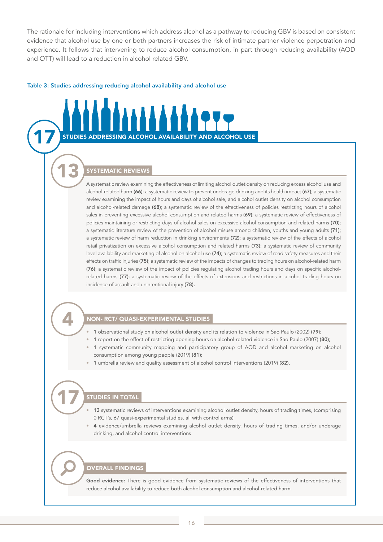The rationale for including interventions which address alcohol as a pathway to reducing GBV is based on consistent evidence that alcohol use by one or both partners increases the risk of intimate partner violence perpetration and experience. It follows that intervening to reduce alcohol consumption, in part through reducing availability (AOD and OTT) will lead to a reduction in alcohol related GBV.

#### Table 3: Studies addressing reducing alcohol availability and alcohol use



Good evidence: There is good evidence from systematic reviews of the effectiveness of interventions that reduce alcohol availability to reduce both alcohol consumption and alcohol-related harm.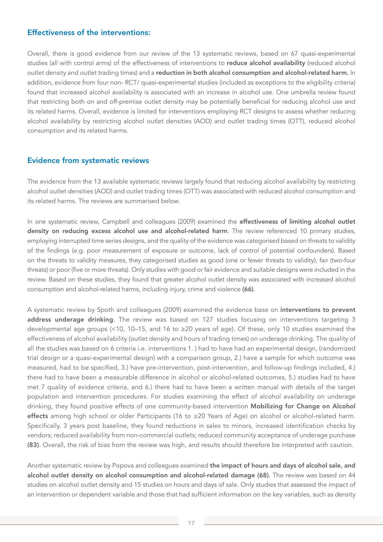### Effectiveness of the interventions:

Overall, there is good evidence from our review of the 13 systematic reviews, based on 67 quasi-experimental studies (all with control arms) of the effectiveness of interventions to reduce alcohol availability (reduced alcohol outlet density and outlet trading times) and a reduction in both alcohol consumption and alcohol-related harm. In addition, evidence from four non- RCT/ quasi-experimental studies (included as exceptions to the eligibility criteria) found that increased alcohol availability is associated with an increase in alcohol use. One umbrella review found that restricting both on and off-premise outlet density may be potentially beneficial for reducing alcohol use and its related harms. Overall, evidence is limited for interventions employing RCT designs to assess whether reducing alcohol availability by restricting alcohol outlet densities (AOD) and outlet trading times (OTT), reduced alcohol consumption and its related harms.

#### Evidence from systematic reviews

The evidence from the 13 available systematic reviews largely found that reducing alcohol availability by restricting alcohol outlet densities (AOD) and outlet trading times (OTT) was associated with reduced alcohol consumption and its related harms. The reviews are summarised below.

In one systematic review, Campbell and colleagues (2009) examined the effectiveness of limiting alcohol outlet density on reducing excess alcohol use and alcohol-related harm. The review referenced 10 primary studies, employing interrupted time series designs, and the quality of the evidence was categorised based on threats to validity of the findings (e.g. poor measurement of exposure or outcome, lack of control of potential confounders). Based on the threats to validity measures, they categorised studies as good (one or fewer threats to validity), fair (two-four threats) or poor (five or more threats). Only studies with good or fair evidence and suitable designs were included in the review. Based on these studies, they found that greater alcohol outlet density was associated with increased alcohol consumption and alcohol-related harms, including injury, crime and violence (66).

A systematic review by Spoth and colleagues (2009) examined the evidence base on interventions to prevent address underage drinking. The review was based on 127 studies focusing on interventions targeting 3 developmental age groups (<10, 10–15, and 16 to ≥20 years of age). Of these, only 10 studies examined the effectiveness of alcohol availability (outlet density and hours of trading times) on underage drinking. The quality of all the studies was based on 6 criteria i.e. interventions 1. ) had to have had an experimental design, (randomized trial design or a quasi-experimental design) with a comparison group, 2.) have a sample for which outcome was measured, had to be specified, 3.) have pre-intervention, post-intervention, and follow-up findings included, 4.) there had to have been a measurable difference in alcohol or alcohol-related outcomes, 5.) studies had to have met 7 quality of evidence criteria, and 6.) there had to have been a written manual with details of the target population and intervention procedures. For studies examining the effect of alcohol availability on underage drinking, they found positive effects of one community-based intervention Mobilizing for Change on Alcohol effects among high school or older Participants (16 to ≥20 Years of Age) on alcohol or alcohol-related harm. Specifically, 3 years post baseline, they found reductions in sales to minors, increased identification checks by vendors; reduced availability from non-commercial outlets; reduced community acceptance of underage purchase (83). Overall, the risk of bias from the review was high, and results should therefore be interpreted with caution.

Another systematic review by Popova and colleagues examined the impact of hours and days of alcohol sale, and alcohol outlet density on alcohol consumption and alcohol-related damage (68). The review was based on 44 studies on alcohol outlet density and 15 studies on hours and days of sale. Only studies that assessed the impact of an intervention or dependent variable and those that had sufficient information on the key variables, such as density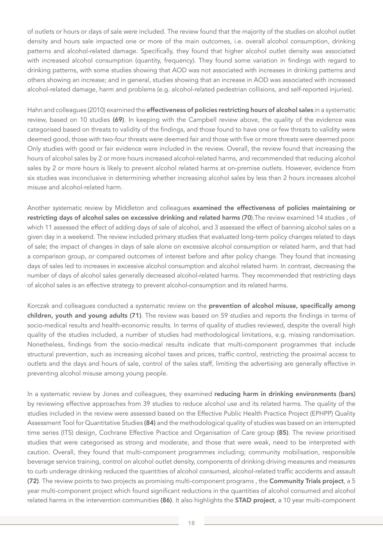of outlets or hours or days of sale were included. The review found that the majority of the studies on alcohol outlet density and hours sale impacted one or more of the main outcomes, i.e. overall alcohol consumption, drinking patterns and alcohol-related damage. Specifically, they found that higher alcohol outlet density was associated with increased alcohol consumption (quantity, frequency). They found some variation in findings with regard to drinking patterns, with some studies showing that AOD was not associated with increases in drinking patterns and others showing an increase; and in general, studies showing that an increase in AOD was associated with increased alcohol-related damage, harm and problems (e.g. alcohol-related pedestrian collisions, and self-reported injuries).

Hahn and colleagues (2010) examined the **effectiveness of policies restricting hours of alcohol sales** in a systematic review, based on 10 studies (69). In keeping with the Campbell review above, the quality of the evidence was categorised based on threats to validity of the findings, and those found to have one or few threats to validity were deemed good, those with two-four threats were deemed fair and those with five or more threats were deemed poor. Only studies with good or fair evidence were included in the review. Overall, the review found that increasing the hours of alcohol sales by 2 or more hours increased alcohol-related harms, and recommended that reducing alcohol sales by 2 or more hours is likely to prevent alcohol related harms at on-premise outlets. However, evidence from six studies was inconclusive in determining whether increasing alcohol sales by less than 2 hours increases alcohol misuse and alcohol-related harm.

Another systematic review by Middleton and colleagues examined the effectiveness of policies maintaining or restricting days of alcohol sales on excessive drinking and related harms (70).The review examined 14 studies , of which 11 assessed the effect of adding days of sale of alcohol, and 3 assessed the effect of banning alcohol sales on a given day in a weekend. The review included primary studies that evaluated long-term policy changes related to days of sale; the impact of changes in days of sale alone on excessive alcohol consumption or related harm, and that had a comparison group, or compared outcomes of interest before and after policy change. They found that increasing days of sales led to increases in excessive alcohol consumption and alcohol related harm. In contrast, decreasing the number of days of alcohol sales generally decreased alcohol-related harms. They recommended that restricting days of alcohol sales is an effective strategy to prevent alcohol-consumption and its related harms.

Korczak and colleagues conducted a systematic review on the prevention of alcohol misuse, specifically among children, youth and young adults (71). The review was based on 59 studies and reports the findings in terms of socio-medical results and health-economic results. In terms of quality of studies reviewed, despite the overall high quality of the studies included, a number of studies had methodological limitations, e.g. missing randomisation. Nonetheless, findings from the socio-medical results indicate that multi-component programmes that include structural prevention, such as increasing alcohol taxes and prices, traffic control, restricting the proximal access to outlets and the days and hours of sale, control of the sales staff, limiting the advertising are generally effective in preventing alcohol misuse among young people.

In a systematic review by Jones and colleagues, they examined reducing harm in drinking environments (bars) by reviewing effective approaches from 39 studies to reduce alcohol use and its related harms. The quality of the studies included in the review were assessed based on the Effective Public Health Practice Project (EPHPP) Quality Assessment Tool for Quantitative Studies (84) and the methodological quality of studies was based on an interrupted time series (ITS) design, Cochrane Effective Practice and Organisation of Care group (85). The review prioritised studies that were categorised as strong and moderate, and those that were weak, need to be interpreted with caution. Overall, they found that multi-component programmes including; community mobilisation, responsible beverage service training, control on alcohol outlet density, components of drinking driving measures and measures to curb underage drinking reduced the quantities of alcohol consumed, alcohol-related traffic accidents and assault (72). The review points to two projects as promising multi-component programs , the Community Trials project, a 5 year multi-component project which found significant reductions in the quantities of alcohol consumed and alcohol related harms in the intervention communities (86). It also highlights the STAD project, a 10 year multi-component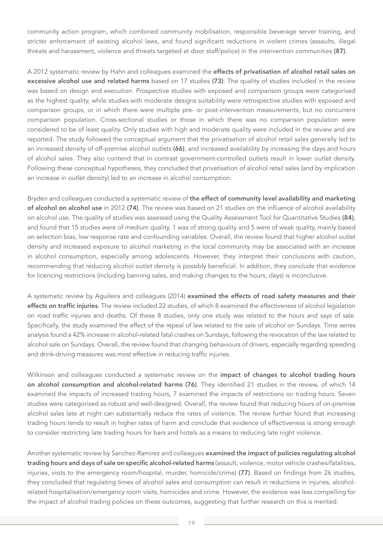community action program, which combined community mobilisation, responsible beverage server training, and stricter enforcement of existing alcohol laws, and found significant reductions in violent crimes (assaults, illegal threats and harassment, violence and threats targeted at door staff/police) in the intervention communities (87).

A 2012 systematic review by Hahn and colleagues examined the effects of privatisation of alcohol retail sales on excessive alcohol use and related harms based on 17 studies (73). The quality of studies included in the review was based on design and execution. Prospective studies with exposed and comparison groups were categorised as the highest quality, while studies with moderate designs suitability were retrospective studies with exposed and comparison groups, or in which there were multiple pre- or post-intervention measurements, but no concurrent comparison population. Cross-sectional studies or those in which there was no comparison population were considered to be of least quality. Only studies with high and moderate quality were included in the review and are reported. The study followed the conceptual argument that the privatisation of alcohol retail sales generally led to an increased density of off-premise alcohol outlets (66), and increased availability by increasing the days and hours of alcohol sales. They also contend that in contrast government-controlled outlets result in lower outlet density. Following these conceptual hypotheses, they concluded that privatisation of alcohol retail sales (and by implication an increase in outlet density) led to an increase in alcohol consumption.

Bryden and colleagues conducted a systematic review of the effect of community level availability and marketing of alcohol on alcohol use in 2012 (74). The review was based on 21 studies on the influence of alcohol availability on alcohol use. The quality of studies was assessed using the Quality Assessment Tool for Quantitative Studies (84), and found that 15 studies were of medium quality, 1 was of strong quality and 5 were of weak quality, mainly based on selection bias, low response rate and confounding variables. Overall, the review found that higher alcohol outlet density and increased exposure to alcohol marketing in the local community may be associated with an increase in alcohol consumption, especially among adolescents. However, they interpret their conclusions with caution, recommending that reducing alcohol outlet density is possibly beneficial. In addition, they conclude that evidence for licencing restrictions (including banning sales, and making changes to the hours, days) is inconclusive.

A systematic review by Aguileira and colleagues (2014) examined the effects of road safety measures and their effects on traffic injuries. The review included 22 studies, of which 8 examined the effectiveness of alcohol legislation on road traffic injuries and deaths. Of these 8 studies, only one study was related to the hours and says of sale. Specifically, the study examined the effect of the repeal of law related to the sale of alcohol on Sundays. Time series analysis found a 42% increase in alcohol-related fatal crashes on Sundays, following the revocation of the law related to alcohol sale on Sundays. Overall, the review found that changing behaviours of drivers, especially regarding speeding and drink-driving measures was most effective in reducing traffic injuries.

Wilkinson and colleagues conducted a systematic review on the impact of changes to alcohol trading hours on alcohol consumption and alcohol-related harms (76). They identified 21 studies in the review, of which 14 examined the impacts of increased trading hours, 7 examined the impacts of restrictions on trading hours. Seven studies were categorised as robust and well-designed. Overall, the review found that reducing hours of on-premise alcohol sales late at night can substantially reduce the rates of violence. The review further found that increasing trading hours tends to result in higher rates of harm and conclude that evidence of effectiveness is strong enough to consider restricting late trading hours for bars and hotels as a means to reducing late night violence.

Another systematic review by Sanchez-Ramirez and colleagues examined the impact of policies regulating alcohol trading hours and days of sale on specific alcohol-related harms (assault, violence, motor vehicle crashes/fatalities, injuries, visits to the emergency room/hospital, murder, homicide/crime) (77). Based on findings from 26 studies, they concluded that regulating times of alcohol sales and consumption can result in reductions in injuries, alcoholrelated hospitalisation/emergency room visits, homicides and crime. However, the evidence was less compelling for the impact of alcohol trading policies on these outcomes, suggesting that further research on this is merited.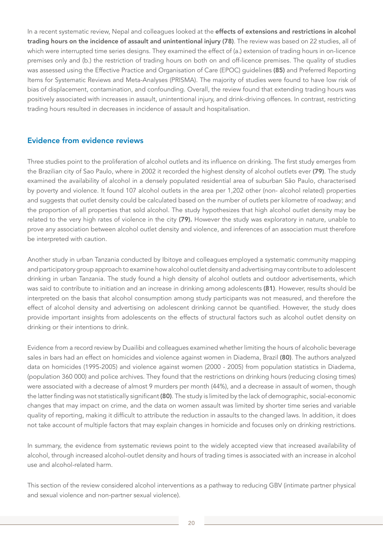In a recent systematic review, Nepal and colleagues looked at the effects of extensions and restrictions in alcohol trading hours on the incidence of assault and unintentional injury (78). The review was based on 22 studies, all of which were interrupted time series designs. They examined the effect of (a.) extension of trading hours in on-licence premises only and (b.) the restriction of trading hours on both on and off-licence premises. The quality of studies was assessed using the Effective Practice and Organisation of Care (EPOC) guidelines (85) and Preferred Reporting Items for Systematic Reviews and Meta-Analyses (PRISMA). The majority of studies were found to have low risk of bias of displacement, contamination, and confounding. Overall, the review found that extending trading hours was positively associated with increases in assault, unintentional injury, and drink-driving offences. In contrast, restricting trading hours resulted in decreases in incidence of assault and hospitalisation.

#### Evidence from evidence reviews

Three studies point to the proliferation of alcohol outlets and its influence on drinking. The first study emerges from the Brazilian city of Sao Paulo, where in 2002 it recorded the highest density of alcohol outlets ever (79). The study examined the availability of alcohol in a densely populated residential area of suburban São Paulo, characterised by poverty and violence. It found 107 alcohol outlets in the area per 1,202 other (non- alcohol related) properties and suggests that outlet density could be calculated based on the number of outlets per kilometre of roadway; and the proportion of all properties that sold alcohol. The study hypothesizes that high alcohol outlet density may be related to the very high rates of violence in the city (79). However the study was exploratory in nature, unable to prove any association between alcohol outlet density and violence, and inferences of an association must therefore be interpreted with caution.

Another study in urban Tanzania conducted by Ibitoye and colleagues employed a systematic community mapping and participatory group approach to examine how alcohol outlet density and advertising may contribute to adolescent drinking in urban Tanzania. The study found a high density of alcohol outlets and outdoor advertisements, which was said to contribute to initiation and an increase in drinking among adolescents (81). However, results should be interpreted on the basis that alcohol consumption among study participants was not measured, and therefore the effect of alcohol density and advertising on adolescent drinking cannot be quantified. However, the study does provide important insights from adolescents on the effects of structural factors such as alcohol outlet density on drinking or their intentions to drink.

Evidence from a record review by Duailibi and colleagues examined whether limiting the hours of alcoholic beverage sales in bars had an effect on homicides and violence against women in Diadema, Brazil (80). The authors analyzed data on homicides (1995-2005) and violence against women (2000 - 2005) from population statistics in Diadema, (population 360 000) and police archives. They found that the restrictions on drinking hours (reducing closing times) were associated with a decrease of almost 9 murders per month (44%), and a decrease in assault of women, though the latter finding was not statistically significant (80). The study is limited by the lack of demographic, social-economic changes that may impact on crime, and the data on women assault was limited by shorter time series and variable quality of reporting, making it difficult to attribute the reduction in assaults to the changed laws. In addition, it does not take account of multiple factors that may explain changes in homicide and focuses only on drinking restrictions.

In summary, the evidence from systematic reviews point to the widely accepted view that increased availability of alcohol, through increased alcohol-outlet density and hours of trading times is associated with an increase in alcohol use and alcohol-related harm.

This section of the review considered alcohol interventions as a pathway to reducing GBV (intimate partner physical and sexual violence and non-partner sexual violence).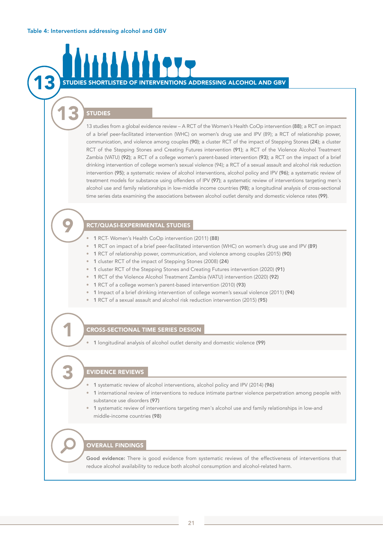#### Table 4: Interventions addressing alcohol and GBV

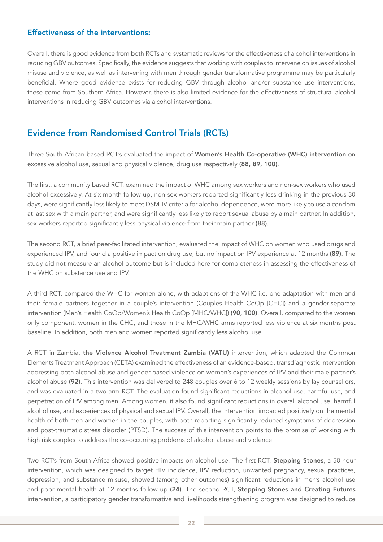### Effectiveness of the interventions:

Overall, there is good evidence from both RCTs and systematic reviews for the effectiveness of alcohol interventions in reducing GBV outcomes. Specifically, the evidence suggests that working with couples to intervene on issues of alcohol misuse and violence, as well as intervening with men through gender transformative programme may be particularly beneficial. Where good evidence exists for reducing GBV through alcohol and/or substance use interventions, these come from Southern Africa. However, there is also limited evidence for the effectiveness of structural alcohol interventions in reducing GBV outcomes via alcohol interventions.

### Evidence from Randomised Control Trials (RCTs)

Three South African based RCT's evaluated the impact of Women's Health Co-operative (WHC) intervention on excessive alcohol use, sexual and physical violence, drug use respectively (88, 89, 100).

The first, a community based RCT, examined the impact of WHC among sex workers and non-sex workers who used alcohol excessively. At six month follow-up, non-sex workers reported significantly less drinking in the previous 30 days, were significantly less likely to meet DSM-IV criteria for alcohol dependence, were more likely to use a condom at last sex with a main partner, and were significantly less likely to report sexual abuse by a main partner. In addition, sex workers reported significantly less physical violence from their main partner (88).

The second RCT, a brief peer-facilitated intervention, evaluated the impact of WHC on women who used drugs and experienced IPV, and found a positive impact on drug use, but no impact on IPV experience at 12 months (89). The study did not measure an alcohol outcome but is included here for completeness in assessing the effectiveness of the WHC on substance use and IPV.

A third RCT, compared the WHC for women alone, with adaptions of the WHC i.e. one adaptation with men and their female partners together in a couple's intervention (Couples Health CoOp [CHC]) and a gender-separate intervention (Men's Health CoOp/Women's Health CoOp [MHC/WHC]) (90, 100). Overall, compared to the women only component, women in the CHC, and those in the MHC/WHC arms reported less violence at six months post baseline. In addition, both men and women reported significantly less alcohol use.

A RCT in Zambia, the Violence Alcohol Treatment Zambia (VATU) intervention, which adapted the Common Elements Treatment Approach (CETA) examined the effectiveness of an evidence-based, transdiagnostic intervention addressing both alcohol abuse and gender-based violence on women's experiences of IPV and their male partner's alcohol abuse (92). This intervention was delivered to 248 couples over 6 to 12 weekly sessions by lay counsellors, and was evaluated in a two arm RCT. The evaluation found significant reductions in alcohol use, harmful use, and perpetration of IPV among men. Among women, it also found significant reductions in overall alcohol use, harmful alcohol use, and experiences of physical and sexual IPV. Overall, the intervention impacted positively on the mental health of both men and women in the couples, with both reporting significantly reduced symptoms of depression and post-traumatic stress disorder (PTSD). The success of this intervention points to the promise of working with high risk couples to address the co-occurring problems of alcohol abuse and violence.

Two RCT's from South Africa showed positive impacts on alcohol use. The first RCT, Stepping Stones, a 50-hour intervention, which was designed to target HIV incidence, IPV reduction, unwanted pregnancy, sexual practices, depression, and substance misuse, showed (among other outcomes) significant reductions in men's alcohol use and poor mental health at 12 months follow up (24). The second RCT, Stepping Stones and Creating Futures intervention, a participatory gender transformative and livelihoods strengthening program was designed to reduce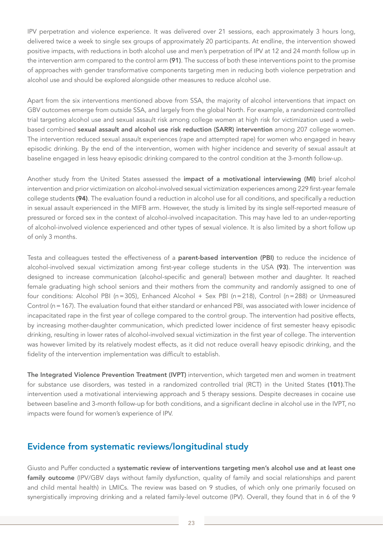IPV perpetration and violence experience. It was delivered over 21 sessions, each approximately 3 hours long, delivered twice a week to single sex groups of approximately 20 participants. At endline, the intervention showed positive impacts, with reductions in both alcohol use and men's perpetration of IPV at 12 and 24 month follow up in the intervention arm compared to the control arm (91). The success of both these interventions point to the promise of approaches with gender transformative components targeting men in reducing both violence perpetration and alcohol use and should be explored alongside other measures to reduce alcohol use.

Apart from the six interventions mentioned above from SSA, the majority of alcohol interventions that impact on GBV outcomes emerge from outside SSA, and largely from the global North. For example, a randomized controlled trial targeting alcohol use and sexual assault risk among college women at high risk for victimization used a webbased combined sexual assault and alcohol use risk reduction (SARR) intervention among 207 college women. The intervention reduced sexual assault experiences (rape and attempted rape) for women who engaged in heavy episodic drinking. By the end of the intervention, women with higher incidence and severity of sexual assault at baseline engaged in less heavy episodic drinking compared to the control condition at the 3-month follow-up.

Another study from the United States assessed the impact of a motivational interviewing (MI) brief alcohol intervention and prior victimization on alcohol-involved sexual victimization experiences among 229 first-year female college students (94). The evaluation found a reduction in alcohol use for all conditions, and specifically a reduction in sexual assault experienced in the MIFB arm. However, the study is limited by its single self-reported measure of pressured or forced sex in the context of alcohol-involved incapacitation. This may have led to an under-reporting of alcohol-involved violence experienced and other types of sexual violence. It is also limited by a short follow up of only 3 months.

Testa and colleagues tested the effectiveness of a **parent-based intervention (PBI)** to reduce the incidence of alcohol-involved sexual victimization among first-year college students in the USA (93). The intervention was designed to increase communication (alcohol-specific and general) between mother and daughter. It reached female graduating high school seniors and their mothers from the community and randomly assigned to one of four conditions: Alcohol PBI (n=305), Enhanced Alcohol + Sex PBI (n=218), Control (n=288) or Unmeasured Control (n=167). The evaluation found that either standard or enhanced PBI, was associated with lower incidence of incapacitated rape in the first year of college compared to the control group. The intervention had positive effects, by increasing mother-daughter communication, which predicted lower incidence of first semester heavy episodic drinking, resulting in lower rates of alcohol-involved sexual victimization in the first year of college. The intervention was however limited by its relatively modest effects, as it did not reduce overall heavy episodic drinking, and the fidelity of the intervention implementation was difficult to establish.

The Integrated Violence Prevention Treatment (IVPT) intervention, which targeted men and women in treatment for substance use disorders, was tested in a randomized controlled trial (RCT) in the United States (101).The intervention used a motivational interviewing approach and 5 therapy sessions. Despite decreases in cocaine use between baseline and 3-month follow-up for both conditions, and a significant decline in alcohol use in the IVPT, no impacts were found for women's experience of IPV.

### Evidence from systematic reviews/longitudinal study

Giusto and Puffer conducted a systematic review of interventions targeting men's alcohol use and at least one family outcome (IPV/GBV days without family dysfunction, quality of family and social relationships and parent and child mental health) in LMICs. The review was based on 9 studies, of which only one primarily focused on synergistically improving drinking and a related family-level outcome (IPV). Overall, they found that in 6 of the 9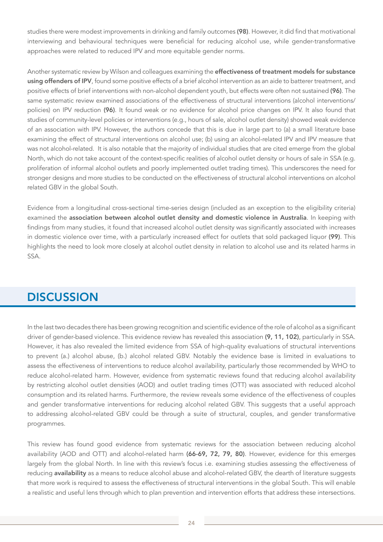studies there were modest improvements in drinking and family outcomes (98). However, it did find that motivational interviewing and behavioural techniques were beneficial for reducing alcohol use, while gender-transformative approaches were related to reduced IPV and more equitable gender norms.

Another systematic review by Wilson and colleagues examining the effectiveness of treatment models for substance using offenders of IPV, found some positive effects of a brief alcohol intervention as an aide to batterer treatment, and positive effects of brief interventions with non-alcohol dependent youth, but effects were often not sustained (96). The same systematic review examined associations of the effectiveness of structural interventions (alcohol interventions/ policies) on IPV reduction (96). It found weak or no evidence for alcohol price changes on IPV. It also found that studies of community-level policies or interventions (e.g., hours of sale, alcohol outlet density) showed weak evidence of an association with IPV. However, the authors concede that this is due in large part to (a) a small literature base examining the effect of structural interventions on alcohol use; (b) using an alcohol-related IPV and IPV measure that was not alcohol-related. It is also notable that the majority of individual studies that are cited emerge from the global North, which do not take account of the context-specific realities of alcohol outlet density or hours of sale in SSA (e.g. proliferation of informal alcohol outlets and poorly implemented outlet trading times). This underscores the need for stronger designs and more studies to be conducted on the effectiveness of structural alcohol interventions on alcohol related GBV in the global South.

Evidence from a longitudinal cross-sectional time-series design (included as an exception to the eligibility criteria) examined the association between alcohol outlet density and domestic violence in Australia. In keeping with findings from many studies, it found that increased alcohol outlet density was significantly associated with increases in domestic violence over time, with a particularly increased effect for outlets that sold packaged liquor (99). This highlights the need to look more closely at alcohol outlet density in relation to alcohol use and its related harms in SSA.

# **DISCUSSION**

In the last two decades there has been growing recognition and scientific evidence of the role of alcohol as a significant driver of gender-based violence. This evidence review has revealed this association (9, 11, 102), particularly in SSA. However, it has also revealed the limited evidence from SSA of high-quality evaluations of structural interventions to prevent (a.) alcohol abuse, (b.) alcohol related GBV. Notably the evidence base is limited in evaluations to assess the effectiveness of interventions to reduce alcohol availability, particularly those recommended by WHO to reduce alcohol-related harm. However, evidence from systematic reviews found that reducing alcohol availability by restricting alcohol outlet densities (AOD) and outlet trading times (OTT) was associated with reduced alcohol consumption and its related harms. Furthermore, the review reveals some evidence of the effectiveness of couples and gender transformative interventions for reducing alcohol related GBV. This suggests that a useful approach to addressing alcohol-related GBV could be through a suite of structural, couples, and gender transformative programmes.

This review has found good evidence from systematic reviews for the association between reducing alcohol availability (AOD and OTT) and alcohol-related harm (66-69, 72, 79, 80). However, evidence for this emerges largely from the global North. In line with this review's focus i.e. examining studies assessing the effectiveness of reducing availability as a means to reduce alcohol abuse and alcohol-related GBV, the dearth of literature suggests that more work is required to assess the effectiveness of structural interventions in the global South. This will enable a realistic and useful lens through which to plan prevention and intervention efforts that address these intersections.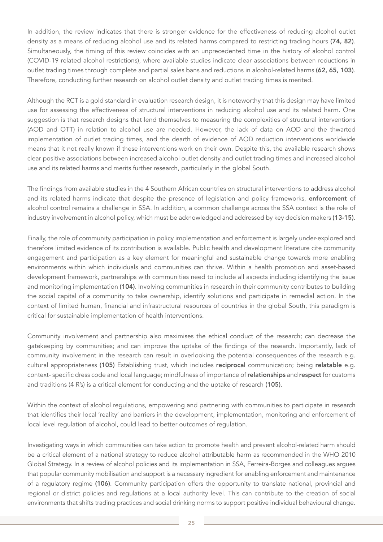In addition, the review indicates that there is stronger evidence for the effectiveness of reducing alcohol outlet density as a means of reducing alcohol use and its related harms compared to restricting trading hours (74, 82). Simultaneously, the timing of this review coincides with an unprecedented time in the history of alcohol control (COVID-19 related alcohol restrictions), where available studies indicate clear associations between reductions in outlet trading times through complete and partial sales bans and reductions in alcohol-related harms (62, 65, 103). Therefore, conducting further research on alcohol outlet density and outlet trading times is merited.

Although the RCT is a gold standard in evaluation research design, it is noteworthy that this design may have limited use for assessing the effectiveness of structural interventions in reducing alcohol use and its related harm. One suggestion is that research designs that lend themselves to measuring the complexities of structural interventions (AOD and OTT) in relation to alcohol use are needed. However, the lack of data on AOD and the thwarted implementation of outlet trading times, and the dearth of evidence of AOD reduction interventions worldwide means that it not really known if these interventions work on their own. Despite this, the available research shows clear positive associations between increased alcohol outlet density and outlet trading times and increased alcohol use and its related harms and merits further research, particularly in the global South.

The findings from available studies in the 4 Southern African countries on structural interventions to address alcohol and its related harms indicate that despite the presence of legislation and policy frameworks, enforcement of alcohol control remains a challenge in SSA. In addition, a common challenge across the SSA context is the role of industry involvement in alcohol policy, which must be acknowledged and addressed by key decision makers (13-15).

Finally, the role of community participation in policy implementation and enforcement is largely under-explored and therefore limited evidence of its contribution is available. Public health and development literature cite community engagement and participation as a key element for meaningful and sustainable change towards more enabling environments within which individuals and communities can thrive. Within a health promotion and asset-based development framework, partnerships with communities need to include all aspects including identifying the issue and monitoring implementation (104). Involving communities in research in their community contributes to building the social capital of a community to take ownership, identify solutions and participate in remedial action. In the context of limited human, financial and infrastructural resources of countries in the global South, this paradigm is critical for sustainable implementation of health interventions.

Community involvement and partnership also maximises the ethical conduct of the research; can decrease the gatekeeping by communities; and can improve the uptake of the findings of the research. Importantly, lack of community involvement in the research can result in overlooking the potential consequences of the research e.g. cultural appropriateness (105) Establishing trust, which includes reciprocal communication; being relatable e.g. context- specific dress code and local language; mindfulness of importance of relationships and respect for customs and traditions (4 R's) is a critical element for conducting and the uptake of research (105).

Within the context of alcohol regulations, empowering and partnering with communities to participate in research that identifies their local 'reality' and barriers in the development, implementation, monitoring and enforcement of local level regulation of alcohol, could lead to better outcomes of regulation.

Investigating ways in which communities can take action to promote health and prevent alcohol-related harm should be a critical element of a national strategy to reduce alcohol attributable harm as recommended in the WHO 2010 Global Strategy. In a review of alcohol policies and its implementation in SSA, Ferreira-Borges and colleagues argues that popular community mobilisation and support is a necessary ingredient for enabling enforcement and maintenance of a regulatory regime (106). Community participation offers the opportunity to translate national, provincial and regional or district policies and regulations at a local authority level. This can contribute to the creation of social environments that shifts trading practices and social drinking norms to support positive individual behavioural change.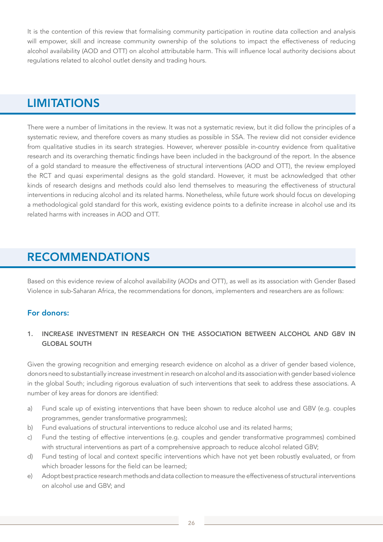It is the contention of this review that formalising community participation in routine data collection and analysis will empower, skill and increase community ownership of the solutions to impact the effectiveness of reducing alcohol availability (AOD and OTT) on alcohol attributable harm. This will influence local authority decisions about regulations related to alcohol outlet density and trading hours.

# **LIMITATIONS**

There were a number of limitations in the review. It was not a systematic review, but it did follow the principles of a systematic review, and therefore covers as many studies as possible in SSA. The review did not consider evidence from qualitative studies in its search strategies. However, wherever possible in-country evidence from qualitative research and its overarching thematic findings have been included in the background of the report. In the absence of a gold standard to measure the effectiveness of structural interventions (AOD and OTT), the review employed the RCT and quasi experimental designs as the gold standard. However, it must be acknowledged that other kinds of research designs and methods could also lend themselves to measuring the effectiveness of structural interventions in reducing alcohol and its related harms. Nonetheless, while future work should focus on developing a methodological gold standard for this work, existing evidence points to a definite increase in alcohol use and its related harms with increases in AOD and OTT.

# RECOMMENDATIONS

Based on this evidence review of alcohol availability (AODs and OTT), as well as its association with Gender Based Violence in sub-Saharan Africa, the recommendations for donors, implementers and researchers are as follows:

### For donors:

#### 1. INCREASE INVESTMENT IN RESEARCH ON THE ASSOCIATION BETWEEN ALCOHOL AND GBV IN GLOBAL SOUTH

Given the growing recognition and emerging research evidence on alcohol as a driver of gender based violence, donors need to substantially increase investment in research on alcohol and its association with gender based violence in the global South; including rigorous evaluation of such interventions that seek to address these associations. A number of key areas for donors are identified:

- a) Fund scale up of existing interventions that have been shown to reduce alcohol use and GBV (e.g. couples programmes, gender transformative programmes);
- b) Fund evaluations of structural interventions to reduce alcohol use and its related harms;
- c) Fund the testing of effective interventions (e.g. couples and gender transformative programmes) combined with structural interventions as part of a comprehensive approach to reduce alcohol related GBV;
- d) Fund testing of local and context specific interventions which have not yet been robustly evaluated, or from which broader lessons for the field can be learned;
- e) Adopt best practice research methods and data collection to measure the effectiveness of structural interventions on alcohol use and GBV; and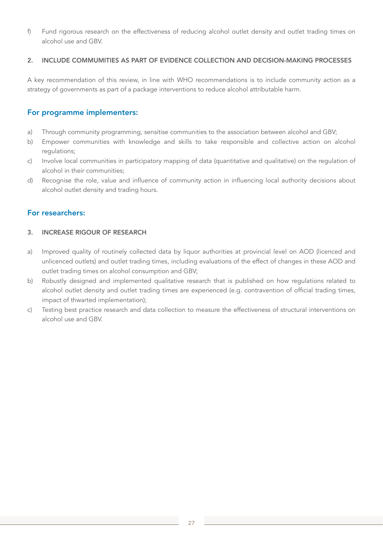f) Fund rigorous research on the effectiveness of reducing alcohol outlet density and outlet trading times on alcohol use and GBV.

#### 2. INCLUDE COMMUMITIES AS PART OF EVIDENCE COLLECTION AND DECISION-MAKING PROCESSES

A key recommendation of this review, in line with WHO recommendations is to include community action as a strategy of governments as part of a package interventions to reduce alcohol attributable harm.

#### For programme implementers:

- a) Through community programming, sensitise communities to the association between alcohol and GBV;
- b) Empower communities with knowledge and skills to take responsible and collective action on alcohol regulations;
- c) Involve local communities in participatory mapping of data (quantitative and qualitative) on the regulation of alcohol in their communities;
- d) Recognise the role, value and influence of community action in influencing local authority decisions about alcohol outlet density and trading hours.

#### For researchers:

#### 3. INCREASE RIGOUR OF RESEARCH

- a) Improved quality of routinely collected data by liquor authorities at provincial level on AOD (licenced and unlicenced outlets) and outlet trading times, including evaluations of the effect of changes in these AOD and outlet trading times on alcohol consumption and GBV;
- b) Robustly designed and implemented qualitative research that is published on how regulations related to alcohol outlet density and outlet trading times are experienced (e.g. contravention of official trading times, impact of thwarted implementation);
- c) Testing best practice research and data collection to measure the effectiveness of structural interventions on alcohol use and GBV.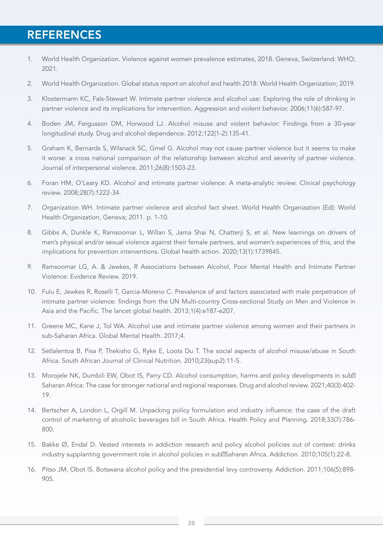# **REFERENCES**

- 1. World Health Organization. Violence against women prevalence estimates, 2018. Geneva, Switzerland: WHO; 2021.
- 2. World Health Organization. Global status report on alcohol and health 2018: World Health Organization; 2019.
- 3. Klostermann KC, Fals-Stewart W. Intimate partner violence and alcohol use: Exploring the role of drinking in partner violence and its implications for intervention. Aggression and violent behavior. 2006;11(6):587-97.
- 4. Boden JM, Fergusson DM, Horwood LJ. Alcohol misuse and violent behavior: Findings from a 30-year longitudinal study. Drug and alcohol dependence. 2012;122(1-2):135-41.
- 5. Graham K, Bernards S, Wilsnack SC, Gmel G. Alcohol may not cause partner violence but it seems to make it worse: a cross national comparison of the relationship between alcohol and severity of partner violence. Journal of interpersonal violence. 2011;26(8):1503-23.
- 6. Foran HM, O'Leary KD. Alcohol and intimate partner violence: A meta-analytic review. Clinical psychology review. 2008;28(7):1222-34.
- 7. Organization WH. Intimate partner violence and alcohol fact sheet. World Health Organization (Ed): World Health Organization, Geneva; 2011. p. 1-10.
- 8. Gibbs A, Dunkle K, Ramsoomar L, Willan S, Jama Shai N, Chatterji S, et al. New learnings on drivers of men's physical and/or sexual violence against their female partners, and women's experiences of this, and the implications for prevention interventions. Global health action. 2020;13(1):1739845.
- 9. Ramsoomar LG, A. & Jewkes, R Associations between Alcohol, Poor Mental Health and Intimate Partner Violence: Evidence Review. 2019.
- 10. Fulu E, Jewkes R, Roselli T, Garcia-Moreno C. Prevalence of and factors associated with male perpetration of intimate partner violence: findings from the UN Multi-country Cross-sectional Study on Men and Violence in Asia and the Pacific. The lancet global health. 2013;1(4):e187-e207.
- 11. Greene MC, Kane J, Tol WA. Alcohol use and intimate partner violence among women and their partners in sub-Saharan Africa. Global Mental Health. 2017;4.
- 12. Setlalentoa B, Pisa P, Thekisho G, Ryke E, Loots Du T. The social aspects of alcohol misuse/abuse in South Africa. South African Journal of Clinical Nutrition. 2010;23(sup2):11-5.
- 13. Morojele NK, Dumbili EW, Obot IS, Parry CD. Alcohol consumption, harms and policy developments in sub<sup>[2]</sup> Saharan Africa: The case for stronger national and regional responses. Drug and alcohol review. 2021;40(3):402- 19.
- 14. Bertscher A, London L, Orgill M. Unpacking policy formulation and industry influence: the case of the draft control of marketing of alcoholic beverages bill in South Africa. Health Policy and Planning. 2018;33(7):786- 800.
- 15. Bakke Ø, Endal D. Vested interests in addiction research and policy alcohol policies out of context: drinks industry supplanting government role in alcohol policies in sub<sup>[2]</sup>Saharan Africa. Addiction. 2010;105(1):22-8.
- 16. Pitso JM, Obot IS. Botswana alcohol policy and the presidential levy controversy. Addiction. 2011;106(5):898- 905.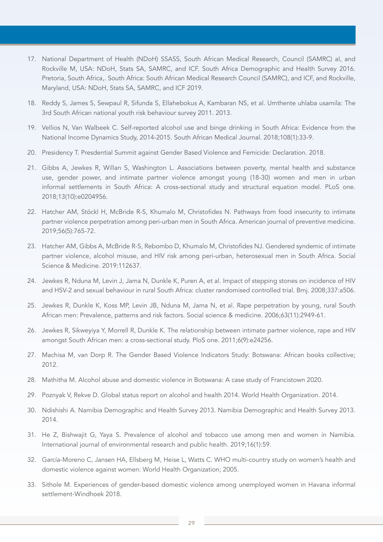- 17. National Department of Health (NDoH) SSASS, South African Medical Research, Council (SAMRC) aI, and Rockville M, USA: NDoH, Stats SA, SAMRC, and ICF. South Africa Demographic and Health Survey 2016. Pretoria, South Africa,. South Africa: South African Medical Research Council (SAMRC), and ICF, and Rockville, Maryland, USA: NDoH, Stats SA, SAMRC, and ICF 2019.
- 18. Reddy S, James S, Sewpaul R, Sifunda S, Ellahebokus A, Kambaran NS, et al. Umthente uhlaba usamila: The 3rd South African national youth risk behaviour survey 2011. 2013.
- 19. Vellios N, Van Walbeek C. Self-reported alcohol use and binge drinking in South Africa: Evidence from the National Income Dynamics Study, 2014-2015. South African Medical Journal. 2018;108(1):33-9.
- 20. Presidency T. Presdential Summit against Gender Based Violence and Femicide: Declaration. 2018.
- 21. Gibbs A, Jewkes R, Willan S, Washington L. Associations between poverty, mental health and substance use, gender power, and intimate partner violence amongst young (18-30) women and men in urban informal settlements in South Africa: A cross-sectional study and structural equation model. PLoS one. 2018;13(10):e0204956.
- 22. Hatcher AM, Stöckl H, McBride R-S, Khumalo M, Christofides N. Pathways from food insecurity to intimate partner violence perpetration among peri-urban men in South Africa. American journal of preventive medicine. 2019;56(5):765-72.
- 23. Hatcher AM, Gibbs A, McBride R-S, Rebombo D, Khumalo M, Christofides NJ. Gendered syndemic of intimate partner violence, alcohol misuse, and HIV risk among peri-urban, heterosexual men in South Africa. Social Science & Medicine. 2019:112637.
- 24. Jewkes R, Nduna M, Levin J, Jama N, Dunkle K, Puren A, et al. Impact of stepping stones on incidence of HIV and HSV-2 and sexual behaviour in rural South Africa: cluster randomised controlled trial. Bmj. 2008;337:a506.
- 25. Jewkes R, Dunkle K, Koss MP, Levin JB, Nduna M, Jama N, et al. Rape perpetration by young, rural South African men: Prevalence, patterns and risk factors. Social science & medicine. 2006;63(11):2949-61.
- 26. Jewkes R, Sikweyiya Y, Morrell R, Dunkle K. The relationship between intimate partner violence, rape and HIV amongst South African men: a cross-sectional study. PloS one. 2011;6(9):e24256.
- 27. Machisa M, van Dorp R. The Gender Based Violence Indicators Study: Botswana: African books collective; 2012.
- 28. Mathitha M. Alcohol abuse and domestic violence in Botswana: A case study of Francistown 2020.
- 29. Poznyak V, Rekve D. Global status report on alcohol and health 2014. World Health Organization. 2014.
- 30. Ndishishi A. Namibia Demographic and Health Survey 2013. Namibia Demographic and Health Survey 2013. 2014.
- 31. He Z, Bishwajit G, Yaya S. Prevalence of alcohol and tobacco use among men and women in Namibia. International journal of environmental research and public health. 2019;16(1):59.
- 32. García-Moreno C, Jansen HA, Ellsberg M, Heise L, Watts C. WHO multi-country study on women's health and domestic violence against women: World Health Organization; 2005.
- 33. Sithole M. Experiences of gender-based domestic violence among unemployed women in Havana informal settlement-Windhoek 2018.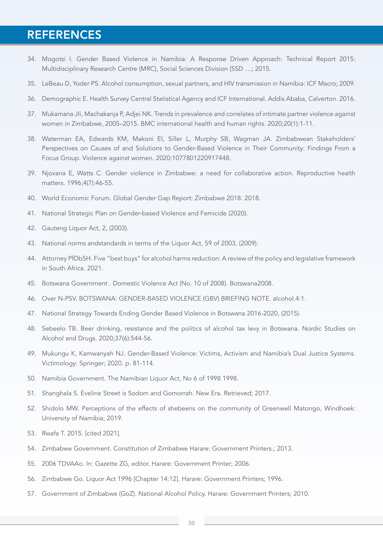# **REFERENCES**

- 34. Mogotsi I. Gender Based Violence in Namibia: A Response Driven Approach: Technical Report 2015: Multidisciplinary Research Centre (MRC), Social Sciences Division (SSD …; 2015.
- 35. LeBeau D, Yoder PS. Alcohol consumption, sexual partners, and HIV transmission in Namibia: ICF Macro; 2009.
- 36. Demographic E. Health Survey Central Statistical Agency and ICF International. Addis Ababa, Calverton. 2016.
- 37. Mukamana JIi, Machakanja P, Adjei NK. Trends in prevalence and correlates of intimate partner violence against women in Zimbabwe, 2005–2015. BMC international health and human rights. 2020;20(1):1-11.
- 38. Waterman EA, Edwards KM, Makoni EI, Siller L, Murphy SB, Wagman JA. Zimbabwean Stakeholders' Perspectives on Causes of and Solutions to Gender-Based Violence in Their Community: Findings From a Focus Group. Violence against women. 2020:1077801220917448.
- 39. Njovana E, Watts C. Gender violence in Zimbabwe: a need for collaborative action. Reproductive health matters. 1996;4(7):46-55.
- 40. World Economic Forum. Global Gender Gap Report: Zimbabwe 2018. 2018.
- 41. National Strategic Plan on Gender-based Violence and Femicide (2020).
- 42. Gauteng Liquor Act, 2, (2003).
- 43. National norms andstandards in terms of the Liquor Act, 59 of 2003, (2009).
- 44. Attorney PfDbSH. Five "best buys" for alcohol harms reduction: A review of the policy and legislative framework in South Africa. 2021.
- 45. Botswana Government . Domestic Violence Act (No. 10 of 2008). Botswana2008.
- 46. Over N-PSV. BOTSWANA: GENDER-BASED VIOLENCE (GBV) BRIEFING NOTE. alcohol.4:1.
- 47. National Strategy Towards Ending Gender Based Violence in Botswana 2016-2020, (2015).
- 48. Sebeelo TB. Beer drinking, resistance and the politics of alcohol tax levy in Botswana. Nordic Studies on Alcohol and Drugs. 2020;37(6):544-56.
- 49. Mukungu K, Kamwanyah NJ. Gender-Based Violence: Victims, Activism and Namibia's Dual Justice Systems. Victimology: Springer; 2020. p. 81-114.
- 50. Namibia Government. The Namibian Liquor Act, No 6 of 1998 1998.
- 51. Shanghala S. Eveline Street is Sodom and Gomorrah. New Era. Retrieved; 2017.
- 52. Shidolo MW. Perceptions of the effects of shebeens on the community of Greenwell Matongo, Windhoek: University of Namibia; 2019.
- 53. Rwafa T. 2015. [cited 2021].
- 54. Zimbabwe Government. Constitution of Zimbabwe Harare: Government Printers.; 2013.
- 55. 2006 TDVAAo. In: Gazette ZG, editor. Harare: Government Printer; 2006.
- 56. Zimbabwe Go. Liquor Act 1996 [Chapter 14:12]. Harare: Government Printers; 1996.
- 57. Government of Zimbabwe (GoZ). National Alcohol Policy. Harare: Government Printers; 2010.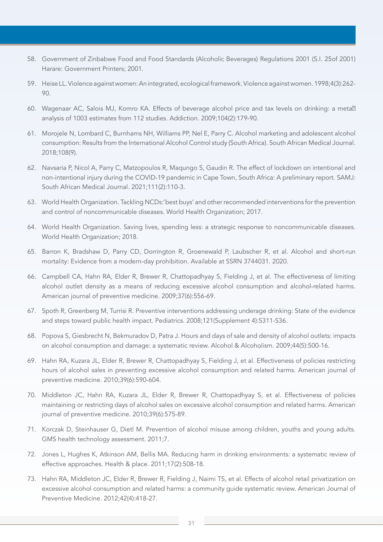- 58. Government of Zinbabwe Food and Food Standards (Alcoholic Beverages) Regulations 2001 (S.I. 25of 2001) Harare: Government Printers; 2001.
- 59. Heise LL. Violence against women: An integrated, ecological framework. Violence against women. 1998;4(3):262- 90.
- 60. Wagenaar AC, Salois MJ, Komro KA. Effects of beverage alcohol price and tax levels on drinking: a meta<sup>[2]</sup> analysis of 1003 estimates from 112 studies. Addiction. 2009;104(2):179-90.
- 61. Morojele N, Lombard C, Burnhams NH, Williams PP, Nel E, Parry C. Alcohol marketing and adolescent alcohol consumption: Results from the International Alcohol Control study (South Africa). South African Medical Journal. 2018;108(9).
- 62. Navsaria P, Nicol A, Parry C, Matzopoulos R, Maqungo S, Gaudin R. The effect of lockdown on intentional and non-intentional injury during the COVID-19 pandemic in Cape Town, South Africa: A preliminary report. SAMJ: South African Medical Journal. 2021;111(2):110-3.
- 63. World Health Organization. Tackling NCDs:'best buys' and other recommended interventions for the prevention and control of noncommunicable diseases. World Health Organization; 2017.
- 64. World Health Organization. Saving lives, spending less: a strategic response to noncommunicable diseases. World Health Organization; 2018.
- 65. Barron K, Bradshaw D, Parry CD, Dorrington R, Groenewald P, Laubscher R, et al. Alcohol and short-run mortality: Evidence from a modern-day prohibition. Available at SSRN 3744031. 2020.
- 66. Campbell CA, Hahn RA, Elder R, Brewer R, Chattopadhyay S, Fielding J, et al. The effectiveness of limiting alcohol outlet density as a means of reducing excessive alcohol consumption and alcohol-related harms. American journal of preventive medicine. 2009;37(6):556-69.
- 67. Spoth R, Greenberg M, Turrisi R. Preventive interventions addressing underage drinking: State of the evidence and steps toward public health impact. Pediatrics. 2008;121(Supplement 4):S311-S36.
- 68. Popova S, Giesbrecht N, Bekmuradov D, Patra J. Hours and days of sale and density of alcohol outlets: impacts on alcohol consumption and damage: a systematic review. Alcohol & Alcoholism. 2009;44(5):500-16.
- 69. Hahn RA, Kuzara JL, Elder R, Brewer R, Chattopadhyay S, Fielding J, et al. Effectiveness of policies restricting hours of alcohol sales in preventing excessive alcohol consumption and related harms. American journal of preventive medicine. 2010;39(6):590-604.
- 70. Middleton JC, Hahn RA, Kuzara JL, Elder R, Brewer R, Chattopadhyay S, et al. Effectiveness of policies maintaining or restricting days of alcohol sales on excessive alcohol consumption and related harms. American journal of preventive medicine. 2010;39(6):575-89.
- 71. Korczak D, Steinhauser G, Dietl M. Prevention of alcohol misuse among children, youths and young adults. GMS health technology assessment. 2011;7.
- 72. Jones L, Hughes K, Atkinson AM, Bellis MA. Reducing harm in drinking environments: a systematic review of effective approaches. Health & place. 2011;17(2):508-18.
- 73. Hahn RA, Middleton JC, Elder R, Brewer R, Fielding J, Naimi TS, et al. Effects of alcohol retail privatization on excessive alcohol consumption and related harms: a community guide systematic review. American Journal of Preventive Medicine. 2012;42(4):418-27.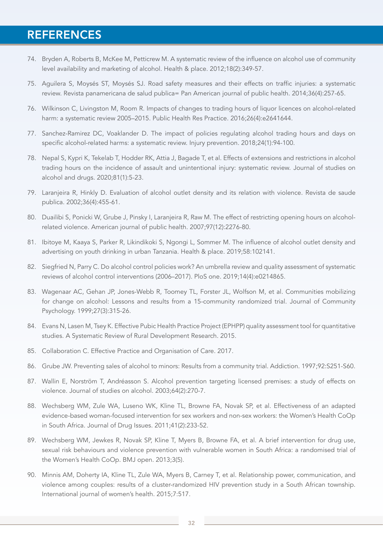# **REFERENCES**

- 74. Bryden A, Roberts B, McKee M, Petticrew M. A systematic review of the influence on alcohol use of community level availability and marketing of alcohol. Health & place. 2012;18(2):349-57.
- 75. Aguilera S, Moysés ST, Moysés SJ. Road safety measures and their effects on traffic injuries: a systematic review. Revista panamericana de salud publica= Pan American journal of public health. 2014;36(4):257-65.
- 76. Wilkinson C, Livingston M, Room R. Impacts of changes to trading hours of liquor licences on alcohol-related harm: a systematic review 2005–2015. Public Health Res Practice. 2016;26(4):e2641644.
- 77. Sanchez-Ramirez DC, Voaklander D. The impact of policies regulating alcohol trading hours and days on specific alcohol-related harms: a systematic review. Injury prevention. 2018;24(1):94-100.
- 78. Nepal S, Kypri K, Tekelab T, Hodder RK, Attia J, Bagade T, et al. Effects of extensions and restrictions in alcohol trading hours on the incidence of assault and unintentional injury: systematic review. Journal of studies on alcohol and drugs. 2020;81(1):5-23.
- 79. Laranjeira R, Hinkly D. Evaluation of alcohol outlet density and its relation with violence. Revista de saude publica. 2002;36(4):455-61.
- 80. Duailibi S, Ponicki W, Grube J, Pinsky I, Laranjeira R, Raw M. The effect of restricting opening hours on alcoholrelated violence. American journal of public health. 2007;97(12):2276-80.
- 81. Ibitoye M, Kaaya S, Parker R, Likindikoki S, Ngongi L, Sommer M. The influence of alcohol outlet density and advertising on youth drinking in urban Tanzania. Health & place. 2019;58:102141.
- 82. Siegfried N, Parry C. Do alcohol control policies work? An umbrella review and quality assessment of systematic reviews of alcohol control interventions (2006–2017). PloS one. 2019;14(4):e0214865.
- 83. Wagenaar AC, Gehan JP, Jones-Webb R, Toomey TL, Forster JL, Wolfson M, et al. Communities mobilizing for change on alcohol: Lessons and results from a 15-community randomized trial. Journal of Community Psychology. 1999;27(3):315-26.
- 84. Evans N, Lasen M, Tsey K. Effective Pubic Health Practice Project (EPHPP) quality assessment tool for quantitative studies. A Systematic Review of Rural Development Research. 2015.
- 85. Collaboration C. Effective Practice and Organisation of Care. 2017.
- 86. Grube JW. Preventing sales of alcohol to minors: Results from a community trial. Addiction. 1997;92:S251-S60.
- 87. Wallin E, Norström T, Andréasson S. Alcohol prevention targeting licensed premises: a study of effects on violence. Journal of studies on alcohol. 2003;64(2):270-7.
- 88. Wechsberg WM, Zule WA, Luseno WK, Kline TL, Browne FA, Novak SP, et al. Effectiveness of an adapted evidence-based woman-focused intervention for sex workers and non-sex workers: the Women's Health CoOp in South Africa. Journal of Drug Issues. 2011;41(2):233-52.
- 89. Wechsberg WM, Jewkes R, Novak SP, Kline T, Myers B, Browne FA, et al. A brief intervention for drug use, sexual risk behaviours and violence prevention with vulnerable women in South Africa: a randomised trial of the Women's Health CoOp. BMJ open. 2013;3(5).
- 90. Minnis AM, Doherty IA, Kline TL, Zule WA, Myers B, Carney T, et al. Relationship power, communication, and violence among couples: results of a cluster-randomized HIV prevention study in a South African township. International journal of women's health. 2015;7:517.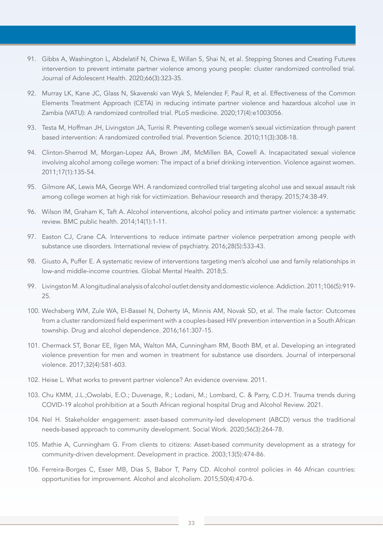- 91. Gibbs A, Washington L, Abdelatif N, Chirwa E, Willan S, Shai N, et al. Stepping Stones and Creating Futures intervention to prevent intimate partner violence among young people: cluster randomized controlled trial. Journal of Adolescent Health. 2020;66(3):323-35.
- 92. Murray LK, Kane JC, Glass N, Skavenski van Wyk S, Melendez F, Paul R, et al. Effectiveness of the Common Elements Treatment Approach (CETA) in reducing intimate partner violence and hazardous alcohol use in Zambia (VATU): A randomized controlled trial. PLoS medicine. 2020;17(4):e1003056.
- 93. Testa M, Hoffman JH, Livingston JA, Turrisi R. Preventing college women's sexual victimization through parent based intervention: A randomized controlled trial. Prevention Science. 2010;11(3):308-18.
- 94. Clinton-Sherrod M, Morgan-Lopez AA, Brown JM, McMillen BA, Cowell A. Incapacitated sexual violence involving alcohol among college women: The impact of a brief drinking intervention. Violence against women. 2011;17(1):135-54.
- 95. Gilmore AK, Lewis MA, George WH. A randomized controlled trial targeting alcohol use and sexual assault risk among college women at high risk for victimization. Behaviour research and therapy. 2015;74:38-49.
- 96. Wilson IM, Graham K, Taft A. Alcohol interventions, alcohol policy and intimate partner violence: a systematic review. BMC public health. 2014;14(1):1-11.
- 97. Easton CJ, Crane CA. Interventions to reduce intimate partner violence perpetration among people with substance use disorders. International review of psychiatry. 2016;28(5):533-43.
- 98. Giusto A, Puffer E. A systematic review of interventions targeting men's alcohol use and family relationships in low-and middle-income countries. Global Mental Health. 2018;5.
- 99. Livingston M. A longitudinal analysis of alcohol outlet density and domestic violence. Addiction. 2011;106(5):919- 25.
- 100. Wechsberg WM, Zule WA, El-Bassel N, Doherty IA, Minnis AM, Novak SD, et al. The male factor: Outcomes from a cluster randomized field experiment with a couples-based HIV prevention intervention in a South African township. Drug and alcohol dependence. 2016;161:307-15.
- 101. Chermack ST, Bonar EE, Ilgen MA, Walton MA, Cunningham RM, Booth BM, et al. Developing an integrated violence prevention for men and women in treatment for substance use disorders. Journal of interpersonal violence. 2017;32(4):581-603.
- 102. Heise L. What works to prevent partner violence? An evidence overview. 2011.
- 103. Chu KMM, J.L.;Owolabi, E.O.; Duvenage, R.; Lodani, M.; Lombard, C. & Parry, C.D.H. Trauma trends during COVID-19 alcohol prohibition at a South African regional hospital Drug and Alcohol Review. 2021.
- 104. Nel H. Stakeholder engagement: asset-based community-led development (ABCD) versus the traditional needs-based approach to community development. Social Work. 2020;56(3):264-78.
- 105. Mathie A, Cunningham G. From clients to citizens: Asset-based community development as a strategy for community-driven development. Development in practice. 2003;13(5):474-86.
- 106. Ferreira-Borges C, Esser MB, Dias S, Babor T, Parry CD. Alcohol control policies in 46 African countries: opportunities for improvement. Alcohol and alcoholism. 2015;50(4):470-6.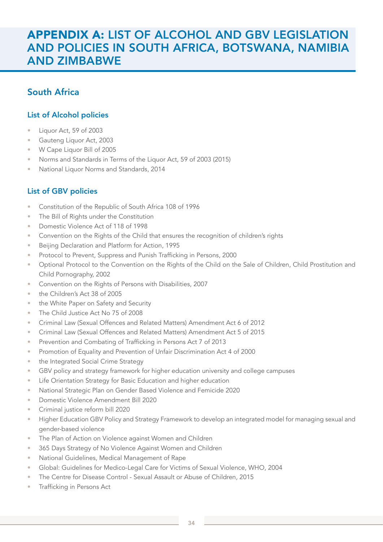# APPENDIX A: LIST OF ALCOHOL AND GBV LEGISLATION AND POLICIES IN SOUTH AFRICA, BOTSWANA, NAMIBIA AND ZIMBABWE

### South Africa

### List of Alcohol policies

- Liquor Act, 59 of 2003
- Gauteng Liquor Act, 2003
- W Cape Liquor Bill of 2005
- Norms and Standards in Terms of the Liquor Act, 59 of 2003 (2015)
- National Liquor Norms and Standards, 2014

### List of GBV policies

- Constitution of the Republic of South Africa 108 of 1996
- The Bill of Rights under the Constitution
- Domestic Violence Act of 118 of 1998
- Convention on the Rights of the Child that ensures the recognition of children's rights
- Beijing Declaration and Platform for Action, 1995
- Protocol to Prevent, Suppress and Punish Trafficking in Persons, 2000
- Optional Protocol to the Convention on the Rights of the Child on the Sale of Children, Child Prostitution and Child Pornography, 2002
- Convention on the Rights of Persons with Disabilities, 2007
- the Children's Act 38 of 2005
- the White Paper on Safety and Security
- The Child Justice Act No 75 of 2008
- Criminal Law (Sexual Offences and Related Matters) Amendment Act 6 of 2012
- Criminal Law (Sexual Offences and Related Matters) Amendment Act 5 of 2015
- Prevention and Combating of Trafficking in Persons Act 7 of 2013
- Promotion of Equality and Prevention of Unfair Discrimination Act 4 of 2000
- the Integrated Social Crime Strategy
- GBV policy and strategy framework for higher education university and college campuses
- Life Orientation Strategy for Basic Education and higher education
- National Strategic Plan on Gender Based Violence and Femicide 2020
- Domestic Violence Amendment Bill 2020
- Criminal justice reform bill 2020
- Higher Education GBV Policy and Strategy Framework to develop an integrated model for managing sexual and gender-based violence
- The Plan of Action on Violence against Women and Children
- 365 Days Strategy of No Violence Against Women and Children
- National Guidelines, Medical Management of Rape
- Global: Guidelines for Medico-Legal Care for Victims of Sexual Violence, WHO, 2004
- The Centre for Disease Control Sexual Assault or Abuse of Children, 2015
- Trafficking in Persons Act